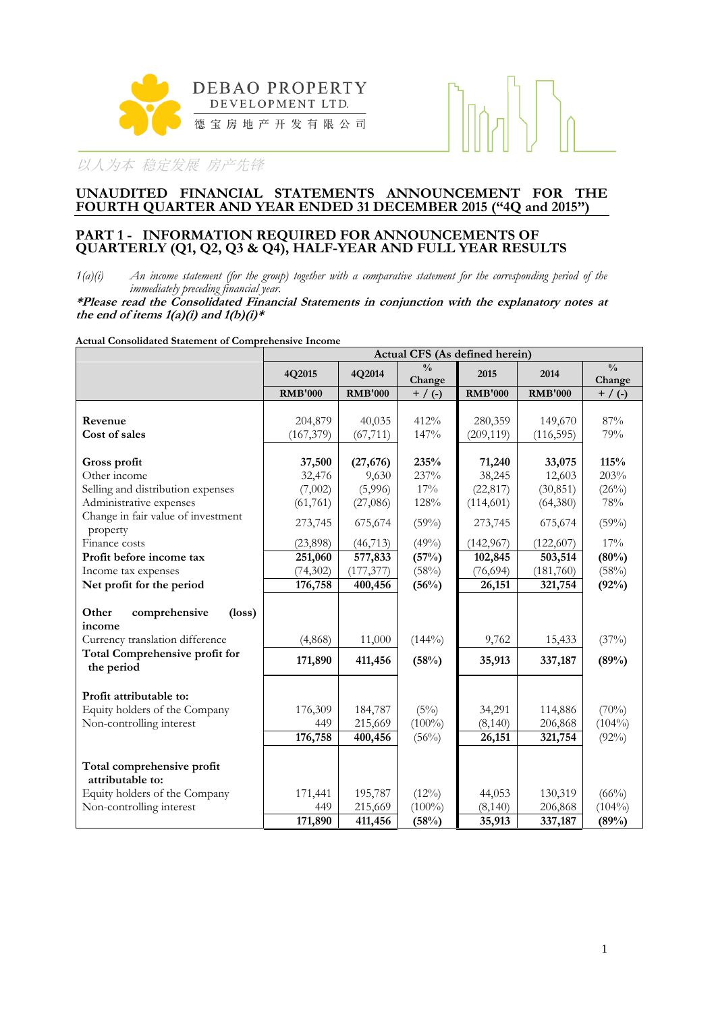

#### **UNAUDITED FINANCIAL STATEMENTS ANNOUNCEMENT FOR THE FOURTH QUARTER AND YEAR ENDED 31 DECEMBER 2015 ("4Q and 2015")**

#### **PART 1 - INFORMATION REQUIRED FOR ANNOUNCEMENTS OF QUARTERLY (Q1, Q2, Q3 & Q4), HALF-YEAR AND FULL YEAR RESULTS**

*1(a)(i) An income statement (for the group) together with a comparative statement for the corresponding period of the immediately preceding financial year.*

**\*Please read the Consolidated Financial Statements in conjunction with the explanatory notes at**  the end of items  $1(a)(i)$  and  $1(b)(i)$ <sup>\*</sup>

**Actual Consolidated Statement of Comprehensive Income**

|                                                     | Actual CFS (As defined herein) |                |                         |                |                |                         |  |  |  |  |
|-----------------------------------------------------|--------------------------------|----------------|-------------------------|----------------|----------------|-------------------------|--|--|--|--|
|                                                     | 4Q2015                         | 4Q2014         | $\frac{0}{0}$<br>Change | 2015           | 2014           | $\frac{0}{0}$<br>Change |  |  |  |  |
|                                                     | <b>RMB'000</b>                 | <b>RMB'000</b> | $+$ / (-)               | <b>RMB'000</b> | <b>RMB'000</b> | $+$ / (-)               |  |  |  |  |
|                                                     |                                |                |                         |                |                |                         |  |  |  |  |
| Revenue                                             | 204,879                        | 40,035         | 412%                    | 280,359        | 149,670        | 87%                     |  |  |  |  |
| Cost of sales                                       | (167, 379)                     | (67, 711)      | 147%                    | (209, 119)     | (116, 595)     | 79%                     |  |  |  |  |
| Gross profit                                        | 37,500                         | (27, 676)      | 235%                    | 71,240         | 33,075         | 115%                    |  |  |  |  |
| Other income                                        | 32,476                         | 9,630          | 237%                    | 38,245         | 12,603         | 203%                    |  |  |  |  |
| Selling and distribution expenses                   | (7,002)                        | (5,996)        | 17%                     | (22, 817)      | (30, 851)      | (26%)                   |  |  |  |  |
| Administrative expenses                             | (61, 761)                      | (27,086)       | 128%                    | (114, 601)     | (64,380)       | $78\%$                  |  |  |  |  |
| Change in fair value of investment                  |                                |                |                         |                |                |                         |  |  |  |  |
| property                                            | 273,745                        | 675,674        | (59%)                   | 273,745        | 675,674        | (59%)                   |  |  |  |  |
| Finance costs                                       | (23,898)                       | (46, 713)      | (49%)                   | (142, 967)     | (122,607)      | 17%                     |  |  |  |  |
| Profit before income tax                            | 251,060                        | 577,833        | (57%)                   | 102,845        | 503,514        | (80%)                   |  |  |  |  |
| Income tax expenses                                 | (74, 302)                      | (177, 377)     | (58%)                   | (76, 694)      | (181,760)      | (58%)                   |  |  |  |  |
| Net profit for the period                           | 176,758                        | 400,456        | (56%)                   | 26,151         | 321,754        | (92%)                   |  |  |  |  |
|                                                     |                                |                |                         |                |                |                         |  |  |  |  |
| Other<br>comprehensive<br>$(\text{loss})$<br>income |                                |                |                         |                |                |                         |  |  |  |  |
| Currency translation difference                     | (4,868)                        | 11,000         | $(144\%)$               | 9,762          | 15,433         | (37%)                   |  |  |  |  |
| Total Comprehensive profit for<br>the period        | 171,890                        | 411,456        | (58%)                   | 35,913         | 337,187        | (89%)                   |  |  |  |  |
|                                                     |                                |                |                         |                |                |                         |  |  |  |  |
| Profit attributable to:                             |                                |                |                         |                |                |                         |  |  |  |  |
| Equity holders of the Company                       | 176,309                        | 184,787        | (5%)                    | 34,291         | 114,886        | $(70\%)$                |  |  |  |  |
| Non-controlling interest                            | 449                            | 215,669        | $(100\%)$               | (8, 140)       | 206,868        | $(104\%)$               |  |  |  |  |
|                                                     | 176,758                        | 400,456        | (56%)                   | 26,151         | 321,754        | (92%)                   |  |  |  |  |
| Total comprehensive profit<br>attributable to:      |                                |                |                         |                |                |                         |  |  |  |  |
| Equity holders of the Company                       | 171,441                        | 195,787        | $(12\%)$                | 44,053         | 130,319        | $(66\%)$                |  |  |  |  |
| Non-controlling interest                            | 449                            | 215,669        | $(100\%)$               | (8,140)        | 206,868        | $(104\%)$               |  |  |  |  |
|                                                     | 171,890                        | 411,456        | (58%)                   | 35,913         | 337,187        | (89%)                   |  |  |  |  |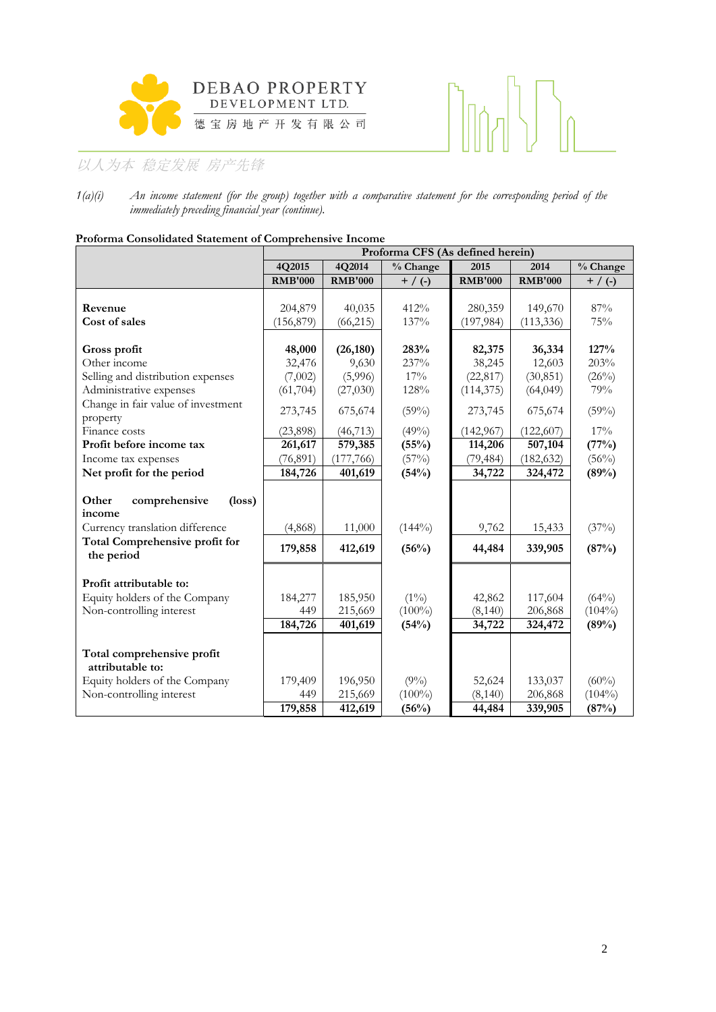



*1(a)(i) An income statement (for the group) together with a comparative statement for the corresponding period of the immediately preceding financial year (continue).*

| Protorma Consolidated Statement of Comprenensive Income | Proforma CFS (As defined herein) |                |           |                |                |           |  |  |  |  |
|---------------------------------------------------------|----------------------------------|----------------|-----------|----------------|----------------|-----------|--|--|--|--|
|                                                         |                                  |                |           |                |                |           |  |  |  |  |
|                                                         | 4Q2015                           | 4Q2014         | % Change  | 2015           | 2014           | % Change  |  |  |  |  |
|                                                         | <b>RMB'000</b>                   | <b>RMB'000</b> | $+$ / (-) | <b>RMB'000</b> | <b>RMB'000</b> | $+$ / (-) |  |  |  |  |
| Revenue                                                 | 204,879                          | 40,035         | 412%      | 280,359        | 149,670        | 87%       |  |  |  |  |
|                                                         |                                  |                |           |                |                |           |  |  |  |  |
| Cost of sales                                           | (156, 879)                       | (66, 215)      | 137%      | (197, 984)     | (113, 336)     | 75%       |  |  |  |  |
| Gross profit                                            | 48,000                           | (26, 180)      | 283%      | 82,375         | 36,334         | 127%      |  |  |  |  |
| Other income                                            | 32,476                           | 9,630          | 237%      | 38,245         | 12,603         | 203%      |  |  |  |  |
| Selling and distribution expenses                       | (7,002)                          | (5,996)        | 17%       | (22, 817)      | (30, 851)      | (26%)     |  |  |  |  |
| Administrative expenses                                 | (61, 704)                        | (27,030)       | 128%      | (114, 375)     | (64, 049)      | 79%       |  |  |  |  |
| Change in fair value of investment                      |                                  |                |           |                |                |           |  |  |  |  |
| property                                                | 273,745                          | 675,674        | (59%)     | 273,745        | 675,674        | (59%)     |  |  |  |  |
| Finance costs                                           | (23,898)                         | (46, 713)      | (49%)     | (142, 967)     | (122, 607)     | 17%       |  |  |  |  |
| Profit before income tax                                | 261,617                          | 579,385        | (55%)     | 114,206        | 507,104        | (77%)     |  |  |  |  |
| Income tax expenses                                     | (76, 891)                        | (177, 766)     | (57%)     | (79, 484)      | (182, 632)     | $(56\%)$  |  |  |  |  |
| Net profit for the period                               | 184,726                          | 401,619        | (54%)     | 34,722         | 324,472        | (89%)     |  |  |  |  |
|                                                         |                                  |                |           |                |                |           |  |  |  |  |
| Other<br>comprehensive<br>$(\text{loss})$               |                                  |                |           |                |                |           |  |  |  |  |
| income                                                  |                                  |                |           |                |                |           |  |  |  |  |
| Currency translation difference                         | (4,868)                          | 11,000         | $(144\%)$ | 9,762          | 15,433         | (37%)     |  |  |  |  |
| <b>Total Comprehensive profit for</b>                   | 179,858                          | 412,619        | (56%)     | 44,484         | 339,905        | (87%)     |  |  |  |  |
| the period                                              |                                  |                |           |                |                |           |  |  |  |  |
|                                                         |                                  |                |           |                |                |           |  |  |  |  |
| Profit attributable to:                                 |                                  |                |           |                |                |           |  |  |  |  |
| Equity holders of the Company                           | 184,277                          | 185,950        | $(1\%)$   | 42,862         | 117,604        | (64%)     |  |  |  |  |
| Non-controlling interest                                | 449                              | 215,669        | $(100\%)$ | (8,140)        | 206,868        | $(104\%)$ |  |  |  |  |
|                                                         | 184,726                          | 401,619        | (54%)     | 34,722         | 324,472        | (89%)     |  |  |  |  |
|                                                         |                                  |                |           |                |                |           |  |  |  |  |
| Total comprehensive profit                              |                                  |                |           |                |                |           |  |  |  |  |
| attributable to:                                        |                                  |                |           |                |                |           |  |  |  |  |
| Equity holders of the Company                           | 179,409                          | 196,950        | $(9\%)$   | 52,624         | 133,037        | $(60\%)$  |  |  |  |  |
| Non-controlling interest                                | 449                              | 215,669        | $(100\%)$ | (8,140)        | 206,868        | $(104\%)$ |  |  |  |  |
|                                                         | 179,858                          | 412,619        | (56%)     | 44,484         | 339,905        | (87%)     |  |  |  |  |

# **Proforma Consolidated Statement of Comprehensive In**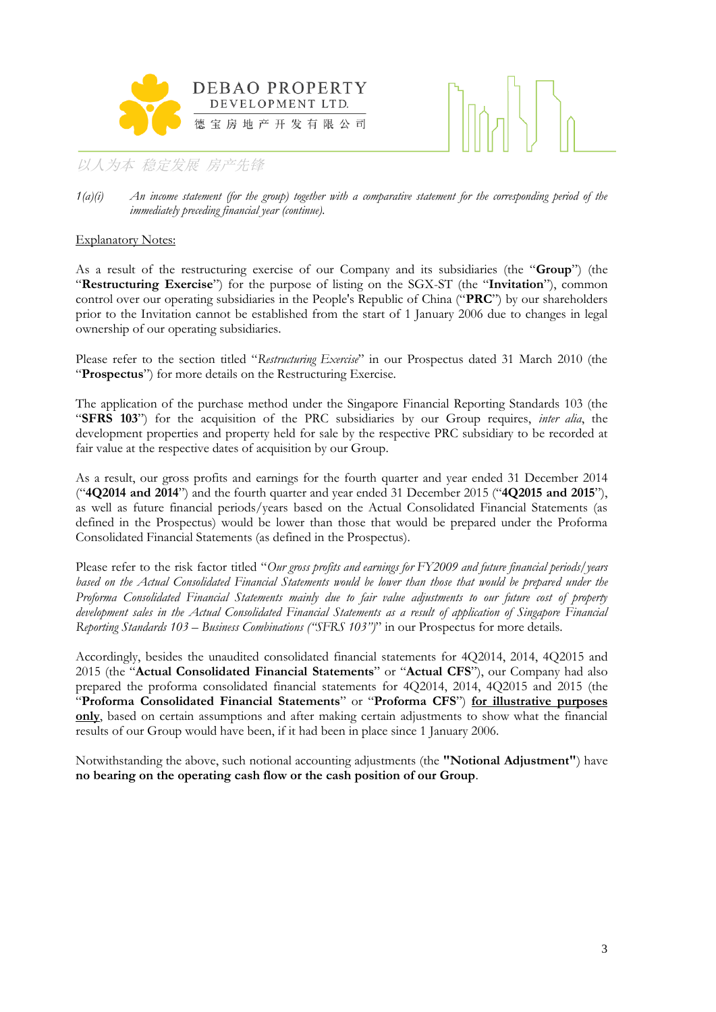



*1(a)(i) An income statement (for the group) together with a comparative statement for the corresponding period of the immediately preceding financial year (continue).*

#### Explanatory Notes:

As a result of the restructuring exercise of our Company and its subsidiaries (the "**Group**") (the "**Restructuring Exercise**") for the purpose of listing on the SGX-ST (the "**Invitation**"), common control over our operating subsidiaries in the People's Republic of China ("**PRC**") by our shareholders prior to the Invitation cannot be established from the start of 1 January 2006 due to changes in legal ownership of our operating subsidiaries.

Please refer to the section titled "*Restructuring Exercise*" in our Prospectus dated 31 March 2010 (the "**Prospectus**") for more details on the Restructuring Exercise.

The application of the purchase method under the Singapore Financial Reporting Standards 103 (the "**SFRS 103**") for the acquisition of the PRC subsidiaries by our Group requires, *inter alia*, the development properties and property held for sale by the respective PRC subsidiary to be recorded at fair value at the respective dates of acquisition by our Group.

As a result, our gross profits and earnings for the fourth quarter and year ended 31 December 2014 ("**4Q2014 and 2014**") and the fourth quarter and year ended 31 December 2015 ("**4Q2015 and 2015**"), as well as future financial periods/years based on the Actual Consolidated Financial Statements (as defined in the Prospectus) would be lower than those that would be prepared under the Proforma Consolidated Financial Statements (as defined in the Prospectus).

Please refer to the risk factor titled "*Our gross profits and earnings for FY2009 and future financial periods/years based on the Actual Consolidated Financial Statements would be lower than those that would be prepared under the Proforma Consolidated Financial Statements mainly due to fair value adjustments to our future cost of property development sales in the Actual Consolidated Financial Statements as a result of application of Singapore Financial Reporting Standards 103 – Business Combinations ("SFRS 103")*" in our Prospectus for more details.

Accordingly, besides the unaudited consolidated financial statements for 4Q2014, 2014, 4Q2015 and 2015 (the "**Actual Consolidated Financial Statements**" or "**Actual CFS**"), our Company had also prepared the proforma consolidated financial statements for 4Q2014, 2014, 4Q2015 and 2015 (the "**Proforma Consolidated Financial Statements**" or "**Proforma CFS**") **for illustrative purposes only**, based on certain assumptions and after making certain adjustments to show what the financial results of our Group would have been, if it had been in place since 1 January 2006.

Notwithstanding the above, such notional accounting adjustments (the **"Notional Adjustment"**) have **no bearing on the operating cash flow or the cash position of our Group**.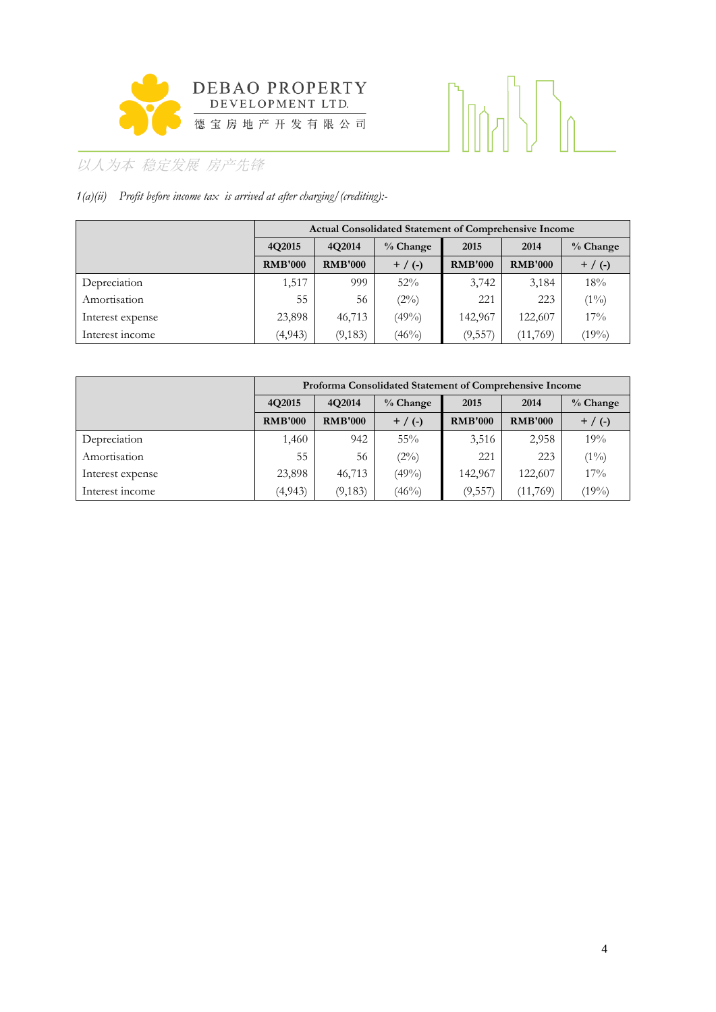

# 

# 以人为本 稳定发展 房产先锋

## *1(a)(ii) Profit before income tax is arrived at after charging/(crediting):-*

|                  |                                | <b>Actual Consolidated Statement of Comprehensive Income</b> |           |                |                |           |  |  |  |  |  |  |
|------------------|--------------------------------|--------------------------------------------------------------|-----------|----------------|----------------|-----------|--|--|--|--|--|--|
|                  | 4O2014<br>4O2015<br>$%$ Change |                                                              | 2015      | 2014           | $%$ Change     |           |  |  |  |  |  |  |
|                  | <b>RMB'000</b>                 | <b>RMB'000</b>                                               | $+$ / (-) | <b>RMB'000</b> | <b>RMB'000</b> | $+$ / (-) |  |  |  |  |  |  |
| Depreciation     | 1,517                          | 999                                                          | 52%       | 3,742          | 3,184          | 18%       |  |  |  |  |  |  |
| Amortisation     | 55                             | 56                                                           | (2%)      | 221            | 223            | $(1\%)$   |  |  |  |  |  |  |
| Interest expense | 23,898                         | 46,713                                                       | $(49\%)$  | 142,967        | 122,607        | $17\%$    |  |  |  |  |  |  |
| Interest income  | (4,943)                        | (9,183)                                                      | $(46\%)$  | (9,557)        | (11,769)       | (19%)     |  |  |  |  |  |  |

|                  |                | Proforma Consolidated Statement of Comprehensive Income |           |                |                |            |  |  |  |  |  |  |
|------------------|----------------|---------------------------------------------------------|-----------|----------------|----------------|------------|--|--|--|--|--|--|
|                  | 4Q2015         | 4O2014<br>$%$ Change                                    |           | 2015           | 2014           | $%$ Change |  |  |  |  |  |  |
|                  | <b>RMB'000</b> | <b>RMB'000</b>                                          | $+$ / (-) | <b>RMB'000</b> | <b>RMB'000</b> | $+$ / (-)  |  |  |  |  |  |  |
| Depreciation     | ,460           | 942                                                     | $55\%$    | 3,516          | 2,958          | 19%        |  |  |  |  |  |  |
| Amortisation     | 55             | 56                                                      | (2%)      | 221            | 223            | $(1\%)$    |  |  |  |  |  |  |
| Interest expense | 23,898         | 46,713                                                  | $(49\%)$  | 142,967        | 122,607        | 17%        |  |  |  |  |  |  |
| Interest income  | (4,943)        | (9,183)                                                 | $(46\%)$  | (9,557)        | (11,769)       | (19%)      |  |  |  |  |  |  |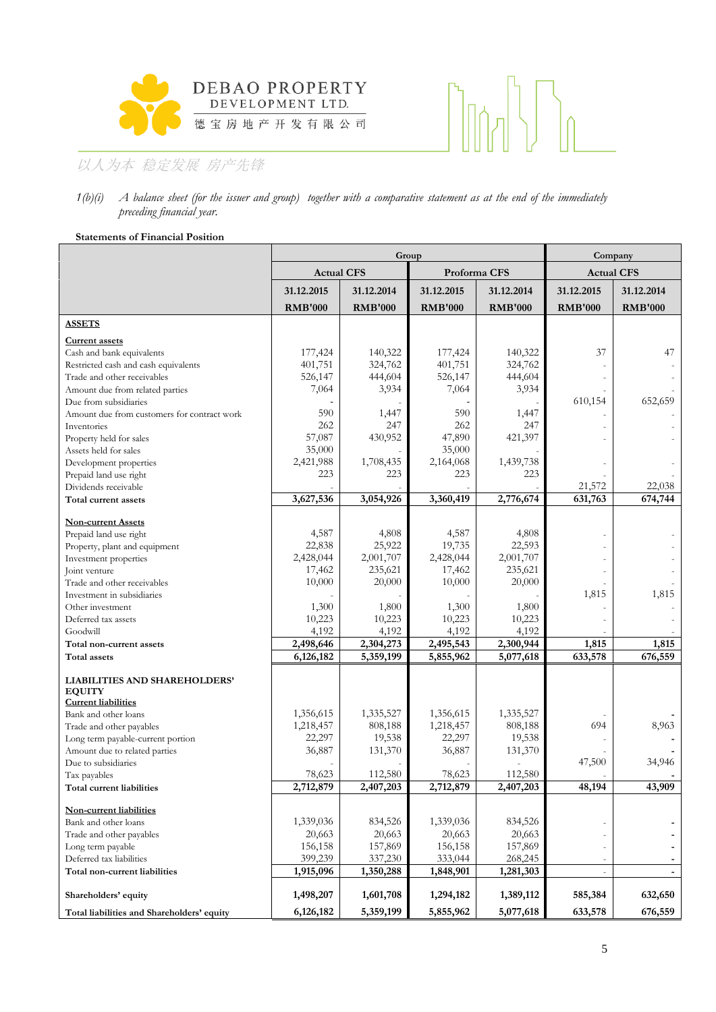



#### *1(b)(i) A balance sheet (for the issuer and group) together with a comparative statement as at the end of the immediately preceding financial year.*

#### **Statements of Financial Position**

|                                                       |                   | Group          |                |                | Company           |                |
|-------------------------------------------------------|-------------------|----------------|----------------|----------------|-------------------|----------------|
|                                                       | <b>Actual CFS</b> |                | Proforma CFS   |                | <b>Actual CFS</b> |                |
|                                                       | 31.12.2015        | 31.12.2014     | 31.12.2015     | 31.12.2014     | 31.12.2015        | 31.12.2014     |
|                                                       | <b>RMB'000</b>    | <b>RMB'000</b> | <b>RMB'000</b> | <b>RMB'000</b> | <b>RMB'000</b>    | <b>RMB'000</b> |
| <b>ASSETS</b>                                         |                   |                |                |                |                   |                |
| <b>Current assets</b>                                 |                   |                |                |                |                   |                |
| Cash and bank equivalents                             | 177,424           | 140,322        | 177,424        | 140,322        | 37                | 47             |
| Restricted cash and cash equivalents                  | 401,751           | 324,762        | 401,751        | 324,762        |                   |                |
| Trade and other receivables                           | 526,147           | 444,604        | 526,147        | 444,604        |                   |                |
| Amount due from related parties                       | 7,064             | 3,934          | 7,064          | 3,934          |                   |                |
| Due from subsidiaries                                 |                   |                |                |                | 610,154           | 652,659        |
| Amount due from customers for contract work           | 590               | 1,447          | 590            | 1,447          |                   |                |
| Inventories                                           | 262               | 247            | 262            | 247            |                   |                |
| Property held for sales                               | 57,087            | 430,952        | 47,890         | 421,397        |                   |                |
| Assets held for sales                                 | 35,000            |                | 35,000         |                |                   |                |
| Development properties                                | 2,421,988         | 1,708,435      | 2,164,068      | 1,439,738      |                   |                |
| Prepaid land use right                                | 223               | 223            | 223            | 223            |                   |                |
| Dividends receivable                                  |                   |                |                |                | 21,572            | 22,038         |
| Total current assets                                  | 3,627,536         | 3,054,926      | 3,360,419      | 2,776,674      | 631,763           | 674,744        |
| <b>Non-current Assets</b>                             |                   |                |                |                |                   |                |
| Prepaid land use right                                | 4,587             | 4,808          | 4,587          | 4,808          |                   |                |
| Property, plant and equipment                         | 22,838            | 25,922         | 19,735         | 22,593         |                   |                |
| Investment properties                                 | 2,428,044         | 2,001,707      | 2,428,044      | 2,001,707      |                   |                |
| Joint venture                                         | 17,462            | 235,621        | 17,462         | 235,621        |                   |                |
| Trade and other receivables                           | 10,000            | 20,000         | 10,000         | 20,000         |                   |                |
| Investment in subsidiaries                            |                   |                |                |                | 1,815             | 1,815          |
| Other investment                                      | 1,300             | 1,800          | 1,300          | 1,800          |                   |                |
| Deferred tax assets                                   | 10,223            | 10,223         | 10,223         | 10,223         |                   |                |
| Goodwill                                              | 4,192             | 4,192          | 4,192          | 4,192          |                   |                |
| Total non-current assets                              | 2,498,646         | 2,304,273      | 2,495,543      | 2,300,944      | 1,815             | 1,815          |
| Total assets                                          | 6,126,182         | 5,359,199      | 5,855,962      | 5,077,618      | 633,578           | 676,559        |
| <b>LIABILITIES AND SHAREHOLDERS'</b><br><b>EQUITY</b> |                   |                |                |                |                   |                |
| <b>Current liabilities</b>                            | 1,356,615         | 1,335,527      | 1,356,615      | 1,335,527      |                   |                |
| Bank and other loans<br>Trade and other payables      | 1,218,457         | 808,188        | 1,218,457      | 808,188        | 694               | 8,963          |
| Long term payable-current portion                     | 22,297            | 19,538         | 22,297         | 19,538         |                   |                |
| Amount due to related parties                         | 36,887            | 131,370        | 36,887         | 131,370        |                   |                |
| Due to subsidiaries                                   |                   |                |                |                | 47,500            | 34,946         |
| Tax payables                                          | 78,623            | 112,580        | 78,623         | 112,580        |                   |                |
| Total current liabilities                             | 2,712,879         | 2,407,203      | 2,712,879      | 2,407,203      | 48,194            | 43,909         |
|                                                       |                   |                |                |                |                   |                |
| Non-current liabilities                               |                   |                |                |                |                   |                |
| Bank and other loans                                  | 1,339,036         | 834,526        | 1,339,036      | 834,526        |                   |                |
| Trade and other payables                              | 20,663            | 20,663         | 20,663         | 20,663         |                   |                |
| Long term payable                                     | 156,158           | 157,869        | 156,158        | 157,869        |                   |                |
| Deferred tax liabilities                              | 399,239           | 337,230        | 333,044        | 268,245        |                   |                |
| Total non-current liabilities                         | 1,915,096         | 1,350,288      | 1,848,901      | 1,281,303      | $\frac{1}{2}$     |                |
| Shareholders' equity                                  | 1,498,207         | 1,601,708      | 1,294,182      | 1,389,112      | 585,384           | 632,650        |
| Total liabilities and Shareholders' equity            | 6,126,182         | 5,359,199      | 5,855,962      | 5,077,618      | 633,578           | 676,559        |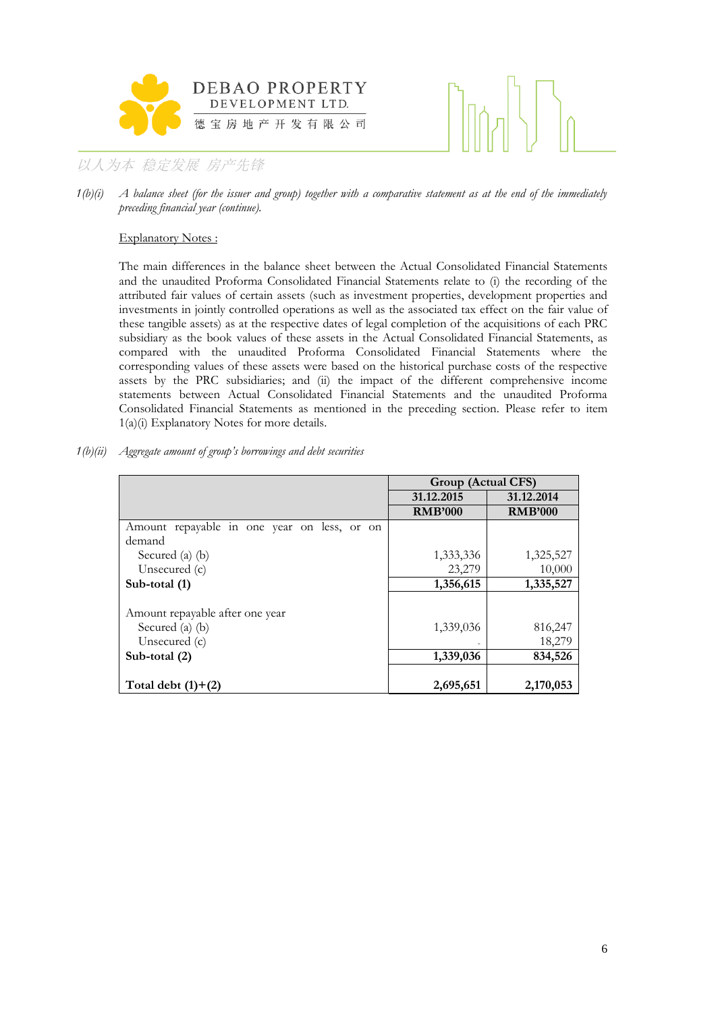



*1(b)(i) A balance sheet (for the issuer and group) together with a comparative statement as at the end of the immediately preceding financial year (continue).*

#### Explanatory Notes :

The main differences in the balance sheet between the Actual Consolidated Financial Statements and the unaudited Proforma Consolidated Financial Statements relate to (i) the recording of the attributed fair values of certain assets (such as investment properties, development properties and investments in jointly controlled operations as well as the associated tax effect on the fair value of these tangible assets) as at the respective dates of legal completion of the acquisitions of each PRC subsidiary as the book values of these assets in the Actual Consolidated Financial Statements, as compared with the unaudited Proforma Consolidated Financial Statements where the corresponding values of these assets were based on the historical purchase costs of the respective assets by the PRC subsidiaries; and (ii) the impact of the different comprehensive income statements between Actual Consolidated Financial Statements and the unaudited Proforma Consolidated Financial Statements as mentioned in the preceding section. Please refer to item 1(a)(i) Explanatory Notes for more details.

| $1(b)(ii)$ Aggregate amount of group's borrowings and debt securities |  |  |  |  |
|-----------------------------------------------------------------------|--|--|--|--|
|                                                                       |  |  |  |  |

|                                             | Group (Actual CFS) |                |
|---------------------------------------------|--------------------|----------------|
|                                             | 31.12.2015         | 31.12.2014     |
|                                             | <b>RMB'000</b>     | <b>RMB'000</b> |
| Amount repayable in one year on less, or on |                    |                |
| demand                                      |                    |                |
| Secured (a) $(b)$                           | 1,333,336          | 1,325,527      |
| Unsecured $(c)$                             | 23,279             | 10,000         |
| Sub-total (1)                               | 1,356,615          | 1,335,527      |
|                                             |                    |                |
| Amount repayable after one year             |                    |                |
| Secured (a) (b)                             | 1,339,036          | 816,247        |
| Unsecured $(c)$                             |                    | 18,279         |
| Sub-total $(2)$                             | 1,339,036          | 834,526        |
| Total debt $(1)+(2)$                        | 2,695,651          | 2,170,053      |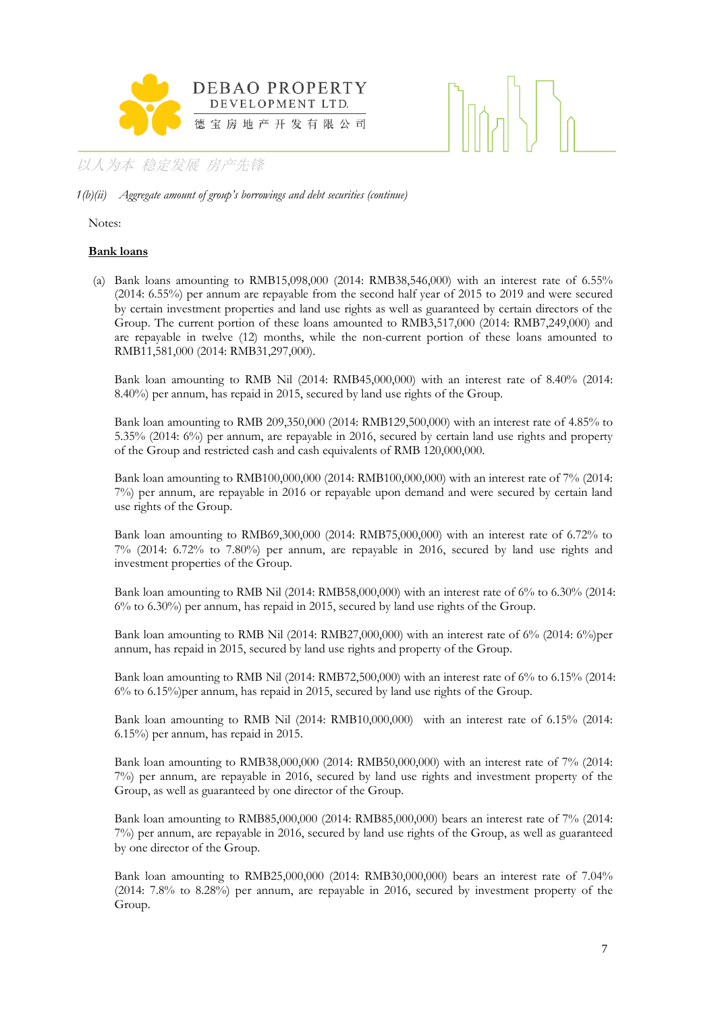

*1(b)(ii) Aggregate amount of group's borrowings and debt securities (continue)*

Notes:

#### **Bank loans**

(a) Bank loans amounting to RMB15,098,000 (2014: RMB38,546,000) with an interest rate of 6.55% (2014: 6.55%) per annum are repayable from the second half year of 2015 to 2019 and were secured by certain investment properties and land use rights as well as guaranteed by certain directors of the Group. The current portion of these loans amounted to RMB3,517,000 (2014: RMB7,249,000) and are repayable in twelve (12) months, while the non-current portion of these loans amounted to RMB11,581,000 (2014: RMB31,297,000).

Bank loan amounting to RMB Nil (2014: RMB45,000,000) with an interest rate of 8.40% (2014: 8.40%) per annum, has repaid in 2015, secured by land use rights of the Group.

Bank loan amounting to RMB 209,350,000 (2014: RMB129,500,000) with an interest rate of 4.85% to 5.35% (2014: 6%) per annum, are repayable in 2016, secured by certain land use rights and property of the Group and restricted cash and cash equivalents of RMB 120,000,000.

Bank loan amounting to RMB100,000,000 (2014: RMB100,000,000) with an interest rate of 7% (2014: 7%) per annum, are repayable in 2016 or repayable upon demand and were secured by certain land use rights of the Group.

Bank loan amounting to RMB69,300,000 (2014: RMB75,000,000) with an interest rate of 6.72% to 7% (2014: 6.72% to 7.80%) per annum, are repayable in 2016, secured by land use rights and investment properties of the Group.

Bank loan amounting to RMB Nil (2014: RMB58,000,000) with an interest rate of 6% to 6.30% (2014: 6% to 6.30%) per annum, has repaid in 2015, secured by land use rights of the Group.

Bank loan amounting to RMB Nil (2014: RMB27,000,000) with an interest rate of  $6\%$  (2014:  $6\%$ )per annum, has repaid in 2015, secured by land use rights and property of the Group.

Bank loan amounting to RMB Nil (2014: RMB72,500,000) with an interest rate of 6% to 6.15% (2014: 6% to 6.15%)per annum, has repaid in 2015, secured by land use rights of the Group.

Bank loan amounting to RMB Nil (2014: RMB10,000,000) with an interest rate of 6.15% (2014: 6.15%) per annum, has repaid in 2015.

Bank loan amounting to RMB38,000,000 (2014: RMB50,000,000) with an interest rate of 7% (2014: 7%) per annum, are repayable in 2016, secured by land use rights and investment property of the Group, as well as guaranteed by one director of the Group.

Bank loan amounting to RMB85,000,000 (2014: RMB85,000,000) bears an interest rate of 7% (2014: 7%) per annum, are repayable in 2016, secured by land use rights of the Group, as well as guaranteed by one director of the Group.

Bank loan amounting to RMB25,000,000 (2014: RMB30,000,000) bears an interest rate of 7.04% (2014: 7.8% to 8.28%) per annum, are repayable in 2016, secured by investment property of the Group.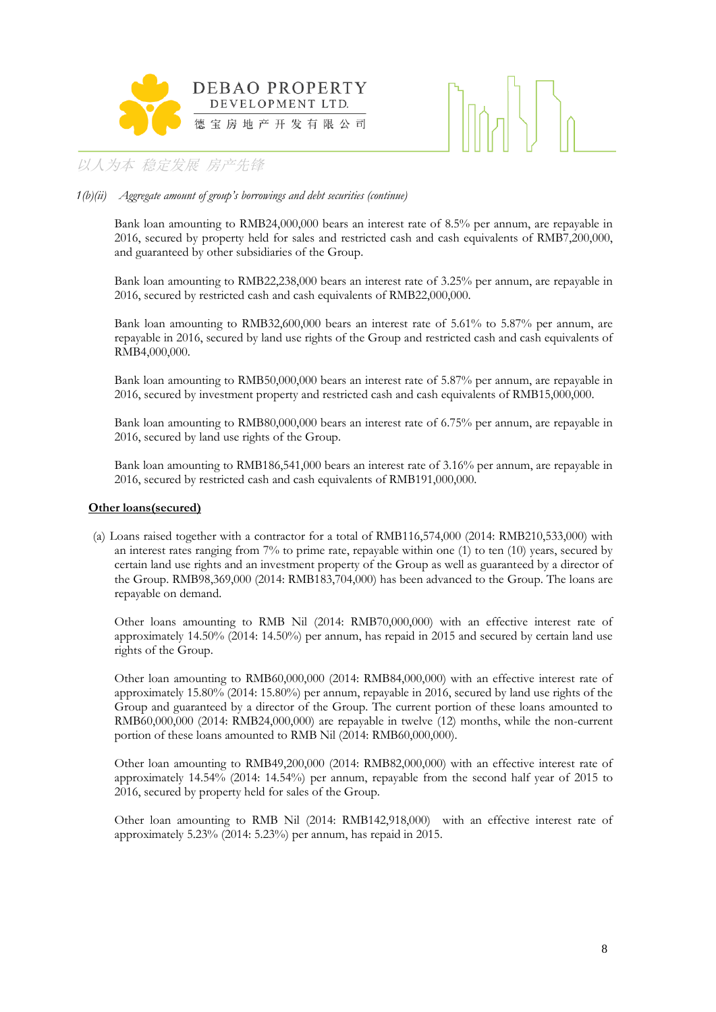



#### *1(b)(ii) Aggregate amount of group's borrowings and debt securities (continue)*

Bank loan amounting to RMB24,000,000 bears an interest rate of 8.5% per annum, are repayable in 2016, secured by property held for sales and restricted cash and cash equivalents of RMB7,200,000, and guaranteed by other subsidiaries of the Group.

Bank loan amounting to RMB22,238,000 bears an interest rate of 3.25% per annum, are repayable in 2016, secured by restricted cash and cash equivalents of RMB22,000,000.

Bank loan amounting to RMB32,600,000 bears an interest rate of 5.61% to 5.87% per annum, are repayable in 2016, secured by land use rights of the Group and restricted cash and cash equivalents of RMB4,000,000.

Bank loan amounting to RMB50,000,000 bears an interest rate of 5.87% per annum, are repayable in 2016, secured by investment property and restricted cash and cash equivalents of RMB15,000,000.

Bank loan amounting to RMB80,000,000 bears an interest rate of 6.75% per annum, are repayable in 2016, secured by land use rights of the Group.

Bank loan amounting to RMB186,541,000 bears an interest rate of 3.16% per annum, are repayable in 2016, secured by restricted cash and cash equivalents of RMB191,000,000.

#### **Other loans(secured)**

(a) Loans raised together with a contractor for a total of RMB116,574,000 (2014: RMB210,533,000) with an interest rates ranging from 7% to prime rate, repayable within one (1) to ten (10) years, secured by certain land use rights and an investment property of the Group as well as guaranteed by a director of the Group. RMB98,369,000 (2014: RMB183,704,000) has been advanced to the Group. The loans are repayable on demand.

Other loans amounting to RMB Nil (2014: RMB70,000,000) with an effective interest rate of approximately 14.50% (2014: 14.50%) per annum, has repaid in 2015 and secured by certain land use rights of the Group.

Other loan amounting to RMB60,000,000 (2014: RMB84,000,000) with an effective interest rate of approximately 15.80% (2014: 15.80%) per annum, repayable in 2016, secured by land use rights of the Group and guaranteed by a director of the Group. The current portion of these loans amounted to RMB60,000,000 (2014: RMB24,000,000) are repayable in twelve (12) months, while the non-current portion of these loans amounted to RMB Nil (2014: RMB60,000,000).

Other loan amounting to RMB49,200,000 (2014: RMB82,000,000) with an effective interest rate of approximately 14.54% (2014: 14.54%) per annum, repayable from the second half year of 2015 to 2016, secured by property held for sales of the Group.

Other loan amounting to RMB Nil (2014: RMB142,918,000) with an effective interest rate of approximately 5.23% (2014: 5.23%) per annum, has repaid in 2015.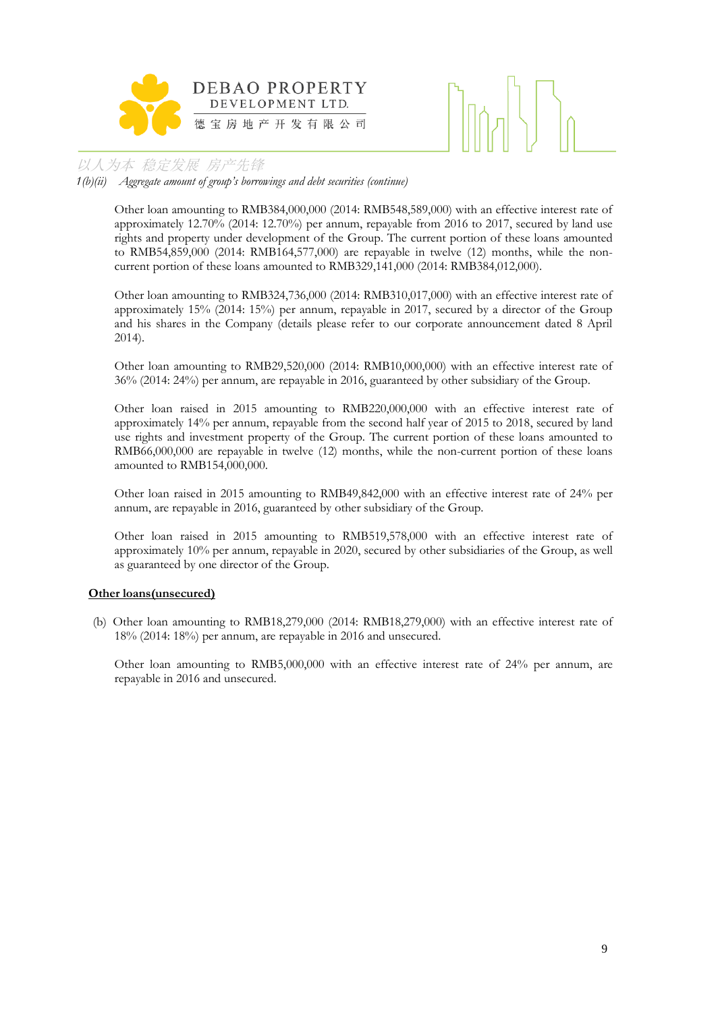

*1(b)(ii) Aggregate amount of group's borrowings and debt securities (continue)*

Other loan amounting to RMB384,000,000 (2014: RMB548,589,000) with an effective interest rate of approximately 12.70% (2014: 12.70%) per annum, repayable from 2016 to 2017, secured by land use rights and property under development of the Group. The current portion of these loans amounted to RMB54,859,000 (2014: RMB164,577,000) are repayable in twelve (12) months, while the noncurrent portion of these loans amounted to RMB329,141,000 (2014: RMB384,012,000).

Other loan amounting to RMB324,736,000 (2014: RMB310,017,000) with an effective interest rate of approximately 15% (2014: 15%) per annum, repayable in 2017, secured by a director of the Group and his shares in the Company (details please refer to our corporate announcement dated 8 April 2014).

Other loan amounting to RMB29,520,000 (2014: RMB10,000,000) with an effective interest rate of 36% (2014: 24%) per annum, are repayable in 2016, guaranteed by other subsidiary of the Group.

Other loan raised in 2015 amounting to RMB220,000,000 with an effective interest rate of approximately 14% per annum, repayable from the second half year of 2015 to 2018, secured by land use rights and investment property of the Group. The current portion of these loans amounted to RMB66,000,000 are repayable in twelve (12) months, while the non-current portion of these loans amounted to RMB154,000,000.

Other loan raised in 2015 amounting to RMB49,842,000 with an effective interest rate of 24% per annum, are repayable in 2016, guaranteed by other subsidiary of the Group.

Other loan raised in 2015 amounting to RMB519,578,000 with an effective interest rate of approximately 10% per annum, repayable in 2020, secured by other subsidiaries of the Group, as well as guaranteed by one director of the Group.

#### **Other loans(unsecured)**

(b) Other loan amounting to RMB18,279,000 (2014: RMB18,279,000) with an effective interest rate of 18% (2014: 18%) per annum, are repayable in 2016 and unsecured.

Other loan amounting to RMB5,000,000 with an effective interest rate of 24% per annum, are repayable in 2016 and unsecured.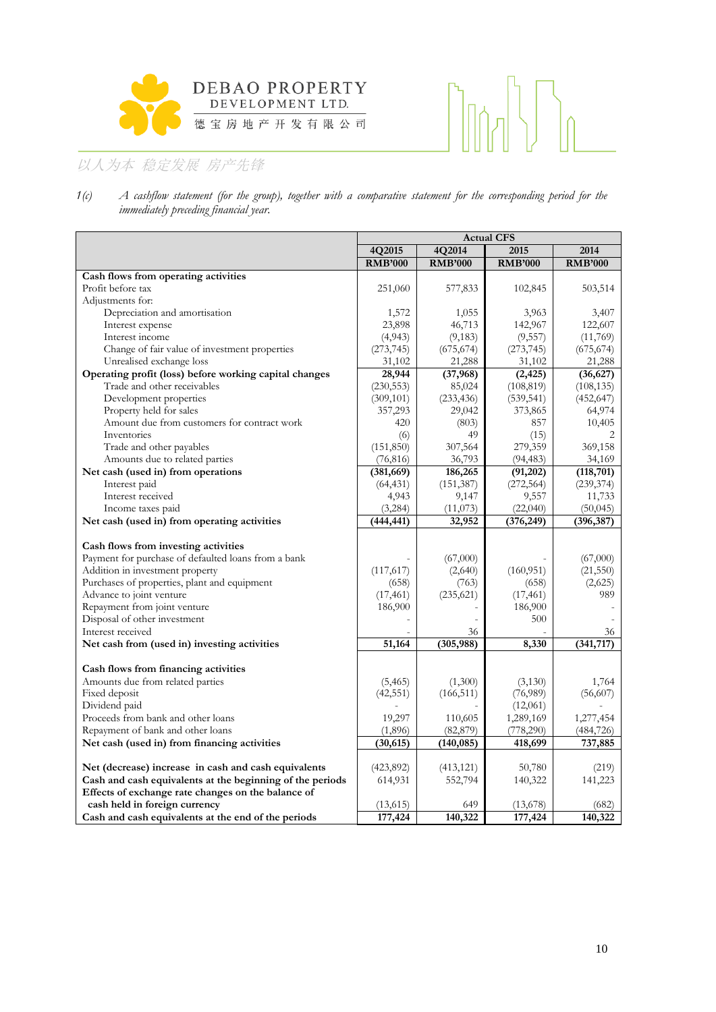



*1(c) A cashflow statement (for the group), together with a comparative statement for the corresponding period for the immediately preceding financial year.*

|                                                                                                                                                                                                                                                                                                 |                                            |                                                  | <b>Actual CFS</b>                                  |                                               |
|-------------------------------------------------------------------------------------------------------------------------------------------------------------------------------------------------------------------------------------------------------------------------------------------------|--------------------------------------------|--------------------------------------------------|----------------------------------------------------|-----------------------------------------------|
|                                                                                                                                                                                                                                                                                                 | 4Q2015                                     | 4Q2014                                           | 2015                                               | 2014                                          |
|                                                                                                                                                                                                                                                                                                 | <b>RMB'000</b>                             | <b>RMB'000</b>                                   | <b>RMB'000</b>                                     | <b>RMB'000</b>                                |
| Cash flows from operating activities                                                                                                                                                                                                                                                            |                                            |                                                  |                                                    |                                               |
| Profit before tax                                                                                                                                                                                                                                                                               | 251,060                                    | 577,833                                          | 102,845                                            | 503,514                                       |
| Adjustments for:                                                                                                                                                                                                                                                                                |                                            |                                                  |                                                    |                                               |
| Depreciation and amortisation                                                                                                                                                                                                                                                                   | 1,572                                      | 1,055                                            | 3,963                                              | 3,407                                         |
| Interest expense                                                                                                                                                                                                                                                                                | 23,898                                     | 46,713                                           | 142,967                                            | 122,607                                       |
| Interest income                                                                                                                                                                                                                                                                                 | (4,943)                                    | (9,183)                                          | (9,557)                                            | (11,769)                                      |
| Change of fair value of investment properties                                                                                                                                                                                                                                                   | (273, 745)                                 | (675, 674)                                       | (273, 745)                                         | (675, 674)                                    |
| Unrealised exchange loss                                                                                                                                                                                                                                                                        | 31,102                                     | 21,288                                           | 31,102                                             | 21,288                                        |
| Operating profit (loss) before working capital changes                                                                                                                                                                                                                                          | 28,944                                     | (37, 968)                                        | (2, 425)                                           | (36,627)                                      |
| Trade and other receivables                                                                                                                                                                                                                                                                     | (230, 553)                                 | 85,024                                           | (108, 819)                                         | (108, 135)                                    |
| Development properties                                                                                                                                                                                                                                                                          | (309, 101)                                 | (233, 436)                                       | (539, 541)                                         | (452, 647)                                    |
| Property held for sales                                                                                                                                                                                                                                                                         | 357,293                                    | 29,042                                           | 373,865                                            | 64,974                                        |
| Amount due from customers for contract work                                                                                                                                                                                                                                                     | 420                                        | (803)                                            | 857                                                | 10,405                                        |
| Inventories                                                                                                                                                                                                                                                                                     | (6)                                        | 49                                               | (15)                                               |                                               |
| Trade and other payables                                                                                                                                                                                                                                                                        | (151, 850)                                 | 307,564                                          | 279,359                                            | 369,158                                       |
| Amounts due to related parties                                                                                                                                                                                                                                                                  | (76, 816)                                  | 36,793                                           | (94, 483)                                          | 34,169                                        |
| Net cash (used in) from operations                                                                                                                                                                                                                                                              | (381, 669)                                 | 186,265                                          | (91,202)                                           | (118, 701)                                    |
| Interest paid                                                                                                                                                                                                                                                                                   | (64, 431)                                  | (151, 387)                                       | (272, 564)                                         | (239, 374)                                    |
| Interest received                                                                                                                                                                                                                                                                               | 4,943                                      | 9,147                                            | 9,557                                              | 11,733                                        |
| Income taxes paid                                                                                                                                                                                                                                                                               | (3,284)                                    | (11,073)                                         | (22,040)                                           | (50, 045)                                     |
| Net cash (used in) from operating activities                                                                                                                                                                                                                                                    | (444, 441)                                 | 32,952                                           | (376, 249)                                         | (396, 387)                                    |
| Cash flows from investing activities<br>Payment for purchase of defaulted loans from a bank<br>Addition in investment property<br>Purchases of properties, plant and equipment<br>Advance to joint venture<br>Repayment from joint venture<br>Disposal of other investment<br>Interest received | (117,617)<br>(658)<br>(17, 461)<br>186,900 | (67,000)<br>(2,640)<br>(763)<br>(235, 621)<br>36 | (160, 951)<br>(658)<br>(17, 461)<br>186,900<br>500 | (67,000)<br>(21, 550)<br>(2,625)<br>989<br>36 |
| Net cash from (used in) investing activities                                                                                                                                                                                                                                                    | 51,164                                     | (305, 988)                                       | 8,330                                              | (341, 717)                                    |
| Cash flows from financing activities                                                                                                                                                                                                                                                            |                                            |                                                  |                                                    |                                               |
| Amounts due from related parties                                                                                                                                                                                                                                                                | (5, 465)                                   | (1,300)                                          | (3,130)                                            | 1,764                                         |
| Fixed deposit                                                                                                                                                                                                                                                                                   | (42, 551)                                  | (166, 511)                                       | (76,989)                                           | (56,607)                                      |
| Dividend paid                                                                                                                                                                                                                                                                                   |                                            |                                                  | (12,061)                                           |                                               |
| Proceeds from bank and other loans                                                                                                                                                                                                                                                              | 19,297                                     | 110,605                                          | 1,289,169                                          | 1,277,454                                     |
| Repayment of bank and other loans                                                                                                                                                                                                                                                               | (1,896)                                    | (82,879)                                         | (778,290)                                          | (484, 726)                                    |
| Net cash (used in) from financing activities                                                                                                                                                                                                                                                    | (30, 615)                                  | (140, 085)                                       | 418,699                                            | 737,885                                       |
| Net (decrease) increase in cash and cash equivalents                                                                                                                                                                                                                                            | (423,892)                                  | (413, 121)                                       | 50,780                                             | (219)                                         |
|                                                                                                                                                                                                                                                                                                 | 614,931                                    | 552,794                                          | 140,322                                            |                                               |
| Cash and cash equivalents at the beginning of the periods                                                                                                                                                                                                                                       |                                            |                                                  |                                                    | 141,223                                       |
| Effects of exchange rate changes on the balance of                                                                                                                                                                                                                                              |                                            |                                                  |                                                    |                                               |
| cash held in foreign currency                                                                                                                                                                                                                                                                   | (13,615)                                   | 649                                              | (13,678)                                           | (682)                                         |
| Cash and cash equivalents at the end of the periods                                                                                                                                                                                                                                             | 177,424                                    | 140,322                                          | 177,424                                            | 140,322                                       |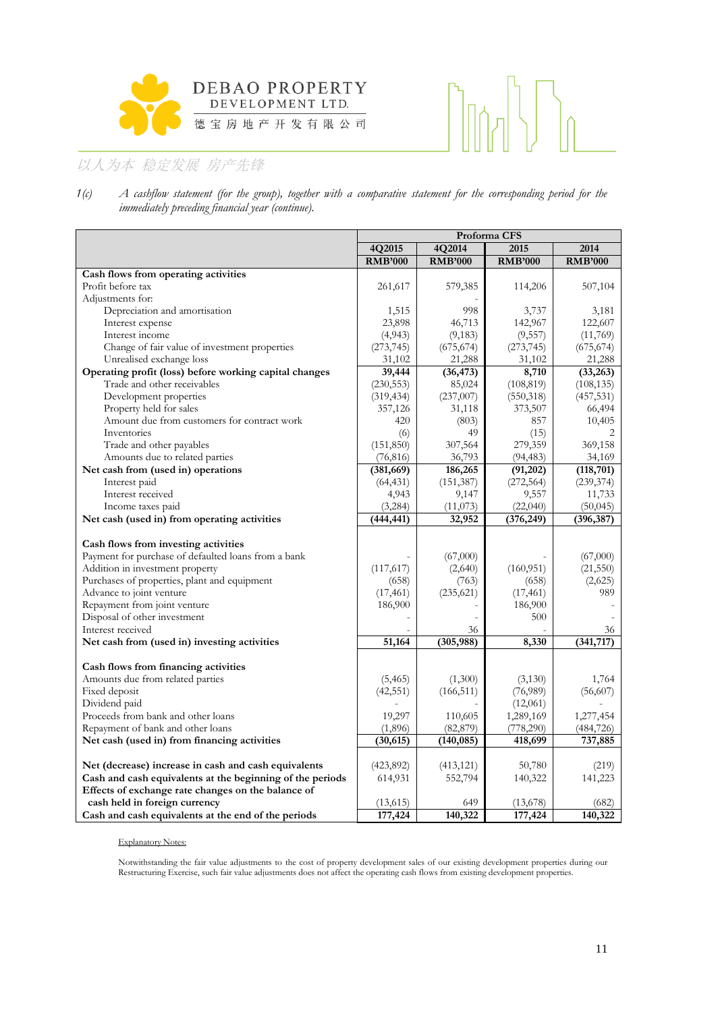



*1(c) A cashflow statement (for the group), together with a comparative statement for the corresponding period for the immediately preceding financial year (continue).*

|                                                                                                                                                                                                                                                                            | Proforma CFS                               |                                            |                                                    |                                         |  |  |  |
|----------------------------------------------------------------------------------------------------------------------------------------------------------------------------------------------------------------------------------------------------------------------------|--------------------------------------------|--------------------------------------------|----------------------------------------------------|-----------------------------------------|--|--|--|
|                                                                                                                                                                                                                                                                            | 4Q2015                                     | 4Q2014                                     | 2015                                               | 2014                                    |  |  |  |
|                                                                                                                                                                                                                                                                            | <b>RMB'000</b>                             | <b>RMB'000</b>                             | <b>RMB'000</b>                                     | <b>RMB'000</b>                          |  |  |  |
| Cash flows from operating activities                                                                                                                                                                                                                                       |                                            |                                            |                                                    |                                         |  |  |  |
| Profit before tax                                                                                                                                                                                                                                                          | 261,617                                    | 579,385                                    | 114,206                                            | 507,104                                 |  |  |  |
| Adjustments for:                                                                                                                                                                                                                                                           |                                            |                                            |                                                    |                                         |  |  |  |
| Depreciation and amortisation                                                                                                                                                                                                                                              | 1,515                                      | 998                                        | 3,737                                              | 3,181                                   |  |  |  |
| Interest expense                                                                                                                                                                                                                                                           | 23,898                                     | 46,713                                     | 142,967                                            | 122,607                                 |  |  |  |
| Interest income                                                                                                                                                                                                                                                            | (4,943)                                    | (9, 183)                                   | (9, 557)                                           | (11,769)                                |  |  |  |
| Change of fair value of investment properties                                                                                                                                                                                                                              | (273, 745)                                 | (675, 674)                                 | (273, 745)                                         | (675, 674)                              |  |  |  |
| Unrealised exchange loss                                                                                                                                                                                                                                                   | 31,102                                     | 21,288                                     | 31,102                                             | 21,288                                  |  |  |  |
| Operating profit (loss) before working capital changes                                                                                                                                                                                                                     | 39,444                                     | (36, 473)                                  | 8,710                                              | (33,263)                                |  |  |  |
| Trade and other receivables                                                                                                                                                                                                                                                | (230, 553)                                 | 85,024                                     | (108, 819)                                         | (108, 135)                              |  |  |  |
| Development properties                                                                                                                                                                                                                                                     | (319, 434)                                 | (237,007)                                  | (550, 318)                                         | (457, 531)                              |  |  |  |
| Property held for sales                                                                                                                                                                                                                                                    | 357,126                                    | 31,118                                     | 373,507                                            | 66,494                                  |  |  |  |
| Amount due from customers for contract work                                                                                                                                                                                                                                | 420                                        | (803)                                      | 857                                                | 10,405                                  |  |  |  |
| Inventories                                                                                                                                                                                                                                                                | (6)                                        | 49                                         | (15)                                               |                                         |  |  |  |
| Trade and other payables                                                                                                                                                                                                                                                   | (151, 850)                                 | 307,564                                    | 279,359                                            | 369,158                                 |  |  |  |
| Amounts due to related parties                                                                                                                                                                                                                                             | (76, 816)                                  | 36,793                                     | (94, 483)                                          | 34,169                                  |  |  |  |
| Net cash from (used in) operations                                                                                                                                                                                                                                         | (381, 669)                                 | 186,265                                    | (91, 202)                                          | (118, 701)                              |  |  |  |
| Interest paid                                                                                                                                                                                                                                                              | (64, 431)                                  | (151, 387)                                 | (272, 564)                                         | (239, 374)                              |  |  |  |
| Interest received                                                                                                                                                                                                                                                          | 4,943                                      | 9,147                                      | 9,557                                              | 11,733                                  |  |  |  |
| Income taxes paid                                                                                                                                                                                                                                                          | (3,284)                                    | (11,073)                                   | (22,040)                                           | (50, 045)                               |  |  |  |
| Net cash (used in) from operating activities                                                                                                                                                                                                                               | (444, 441)                                 | 32,952                                     | (376, 249)                                         | (396, 387)                              |  |  |  |
| Cash flows from investing activities<br>Payment for purchase of defaulted loans from a bank<br>Addition in investment property<br>Purchases of properties, plant and equipment<br>Advance to joint venture<br>Repayment from joint venture<br>Disposal of other investment | (117,617)<br>(658)<br>(17, 461)<br>186,900 | (67,000)<br>(2,640)<br>(763)<br>(235, 621) | (160, 951)<br>(658)<br>(17, 461)<br>186,900<br>500 | (67,000)<br>(21, 550)<br>(2,625)<br>989 |  |  |  |
| Interest received                                                                                                                                                                                                                                                          |                                            | 36                                         |                                                    | 36                                      |  |  |  |
| Net cash from (used in) investing activities                                                                                                                                                                                                                               | 51,164                                     | (305, 988)                                 | 8,330                                              | (341,717)                               |  |  |  |
|                                                                                                                                                                                                                                                                            |                                            |                                            |                                                    |                                         |  |  |  |
| Cash flows from financing activities<br>Amounts due from related parties                                                                                                                                                                                                   | (5, 465)                                   | (1,300)                                    | (3,130)                                            | 1,764                                   |  |  |  |
| Fixed deposit                                                                                                                                                                                                                                                              | (42, 551)                                  | (166, 511)                                 | (76,989)                                           | (56,607)                                |  |  |  |
| Dividend paid                                                                                                                                                                                                                                                              |                                            |                                            | (12,061)                                           |                                         |  |  |  |
| Proceeds from bank and other loans                                                                                                                                                                                                                                         | 19,297                                     | 110,605                                    | 1,289,169                                          |                                         |  |  |  |
|                                                                                                                                                                                                                                                                            |                                            |                                            |                                                    | 1,277,454                               |  |  |  |
| Repayment of bank and other loans                                                                                                                                                                                                                                          | (1,896)<br>(30, 615)                       | (82, 879)                                  | (778,290)                                          | (484, 726)                              |  |  |  |
| Net cash (used in) from financing activities                                                                                                                                                                                                                               |                                            | (140, 085)                                 | 418,699                                            | 737,885                                 |  |  |  |
| Net (decrease) increase in cash and cash equivalents                                                                                                                                                                                                                       | (423,892)                                  | (413, 121)                                 | 50,780                                             | (219)                                   |  |  |  |
| Cash and cash equivalents at the beginning of the periods                                                                                                                                                                                                                  | 614,931                                    | 552,794                                    | 140,322                                            | 141,223                                 |  |  |  |
| Effects of exchange rate changes on the balance of                                                                                                                                                                                                                         |                                            |                                            |                                                    |                                         |  |  |  |
| cash held in foreign currency                                                                                                                                                                                                                                              | (13,615)                                   | 649                                        | (13,678)                                           | (682)                                   |  |  |  |
| Cash and cash equivalents at the end of the periods                                                                                                                                                                                                                        | 177,424                                    | 140,322                                    | 177, 424                                           | 140,322                                 |  |  |  |
|                                                                                                                                                                                                                                                                            |                                            |                                            |                                                    |                                         |  |  |  |

#### Explanatory Notes:

Notwithstanding the fair value adjustments to the cost of property development sales of our existing development properties during our Restructuring Exercise, such fair value adjustments does not affect the operating cash flows from existing development properties.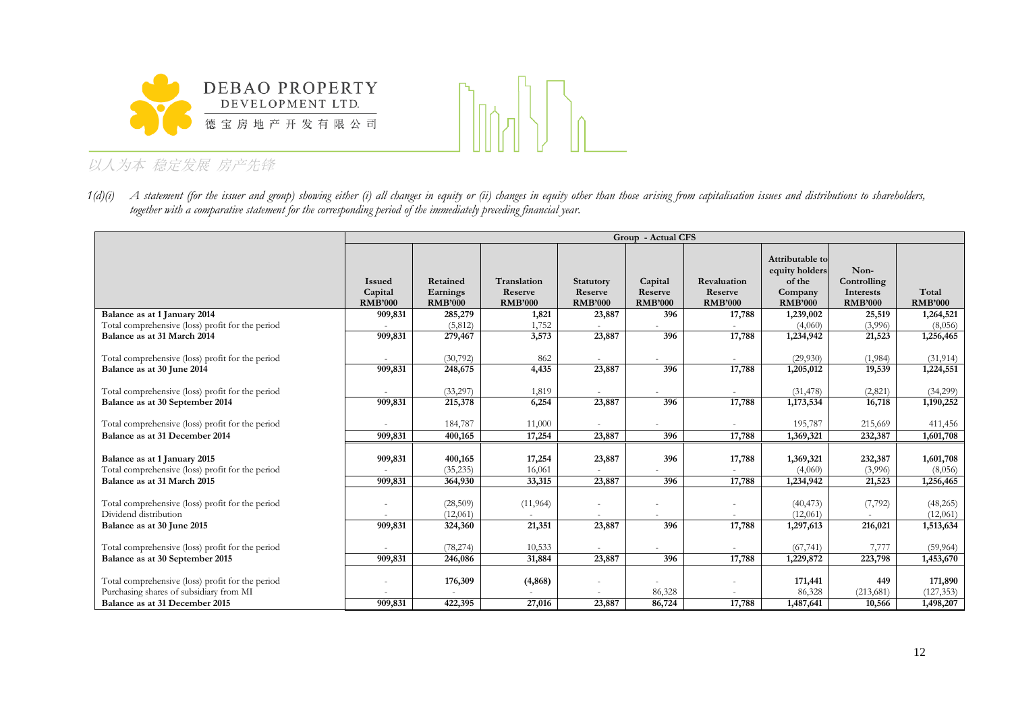



*1(d)(i) A statement (for the issuer and group) showing either (i) all changes in equity or (ii) changes in equity other than those arising from capitalisation issues and distributions to shareholders, together with a comparative statement for the corresponding period of the immediately preceding financial year.*

|                                                                                                                 | Group - Actual CFS                         |                                        |                                          |                                        |                                      |                                          |                                                                          |                                                    |                                   |  |  |
|-----------------------------------------------------------------------------------------------------------------|--------------------------------------------|----------------------------------------|------------------------------------------|----------------------------------------|--------------------------------------|------------------------------------------|--------------------------------------------------------------------------|----------------------------------------------------|-----------------------------------|--|--|
|                                                                                                                 | <b>Issued</b><br>Capital<br><b>RMB'000</b> | Retained<br>Earnings<br><b>RMB'000</b> | Translation<br>Reserve<br><b>RMB'000</b> | Statutory<br>Reserve<br><b>RMB'000</b> | Capital<br>Reserve<br><b>RMB'000</b> | Revaluation<br>Reserve<br><b>RMB'000</b> | Attributable to<br>equity holders<br>of the<br>Company<br><b>RMB'000</b> | Non-<br>Controlling<br>Interests<br><b>RMB'000</b> | Total<br><b>RMB'000</b>           |  |  |
| Balance as at 1 January 2014                                                                                    | 909,831                                    | 285,279                                | 1,821                                    | 23,887                                 | 396                                  | 17,788                                   | 1,239,002                                                                | 25,519                                             | 1,264,521                         |  |  |
| Total comprehensive (loss) profit for the period                                                                |                                            | (5,812)                                | 1,752                                    |                                        |                                      |                                          | (4,060)                                                                  | (3,996)                                            | (8,056)                           |  |  |
| Balance as at 31 March 2014                                                                                     | 909,831                                    | 279,467                                | 3,573                                    | 23,887                                 | 396                                  | 17,788                                   | 1,234,942                                                                | 21,523                                             | 1,256,465                         |  |  |
| Total comprehensive (loss) profit for the period<br>Balance as at 30 June 2014                                  | 909,831                                    | (30,792)<br>248,675                    | 862<br>4,435                             | 23,887                                 | 396                                  | 17,788                                   | (29,930)<br>1,205,012                                                    | (1,984)<br>19,539                                  | (31, 914)<br>1,224,551            |  |  |
| Total comprehensive (loss) profit for the period                                                                |                                            | (33,297)                               | 1,819                                    |                                        |                                      |                                          | (31, 478)                                                                | (2,821)                                            | (34,299)                          |  |  |
| Balance as at 30 September 2014                                                                                 | 909,831                                    | 215,378                                | 6,254                                    | 23,887                                 | 396                                  | 17,788                                   | 1,173,534                                                                | 16,718                                             | 1,190,252                         |  |  |
|                                                                                                                 |                                            |                                        |                                          |                                        |                                      |                                          |                                                                          |                                                    |                                   |  |  |
| Total comprehensive (loss) profit for the period                                                                |                                            | 184,787                                | 11,000                                   |                                        |                                      |                                          | 195,787                                                                  | 215,669                                            | 411,456                           |  |  |
| Balance as at 31 December 2014                                                                                  | 909,831                                    | 400,165                                | 17,254                                   | 23,887                                 | 396                                  | 17,788                                   | 1,369,321                                                                | 232,387                                            | 1,601,708                         |  |  |
| Balance as at 1 January 2015<br>Total comprehensive (loss) profit for the period<br>Balance as at 31 March 2015 | 909,831<br>909,831                         | 400,165<br>(35, 235)<br>364,930        | 17,254<br>16,061<br>33,315               | 23,887<br>23,887                       | 396<br>396                           | 17,788<br>17,788                         | 1,369,321<br>(4,060)<br>1,234,942                                        | 232,387<br>(3,996)<br>21,523                       | 1,601,708<br>(8,056)<br>1,256,465 |  |  |
| Total comprehensive (loss) profit for the period                                                                |                                            | (28,509)                               | (11, 964)                                |                                        |                                      |                                          | (40, 473)                                                                | (7, 792)                                           | (48, 265)                         |  |  |
| Dividend distribution                                                                                           |                                            | (12,061)                               |                                          |                                        |                                      |                                          | (12,061)                                                                 |                                                    | (12,061)                          |  |  |
| Balance as at 30 June 2015                                                                                      | 909,831                                    | 324,360                                | 21,351                                   | 23,887                                 | 396                                  | 17,788                                   | 1,297,613                                                                | 216,021                                            | 1,513,634                         |  |  |
| Total comprehensive (loss) profit for the period<br>Balance as at 30 September 2015                             | 909,831                                    | (78, 274)<br>246,086                   | 10,533<br>31,884                         | 23,887                                 | 396                                  | 17,788                                   | (67, 741)<br>1,229,872                                                   | 7,777<br>223,798                                   | (59, 964)<br>1,453,670            |  |  |
| Total comprehensive (loss) profit for the period<br>Purchasing shares of subsidiary from MI                     |                                            | 176,309                                | (4, 868)                                 |                                        | 86,328                               |                                          | 171,441<br>86,328                                                        | 449<br>(213,681)                                   | 171,890<br>(127, 353)             |  |  |
| Balance as at 31 December 2015                                                                                  | 909,831                                    | 422,395                                | 27,016                                   | 23,887                                 | 86,724                               | 17,788                                   | 1,487,641                                                                | 10,566                                             | 1,498,207                         |  |  |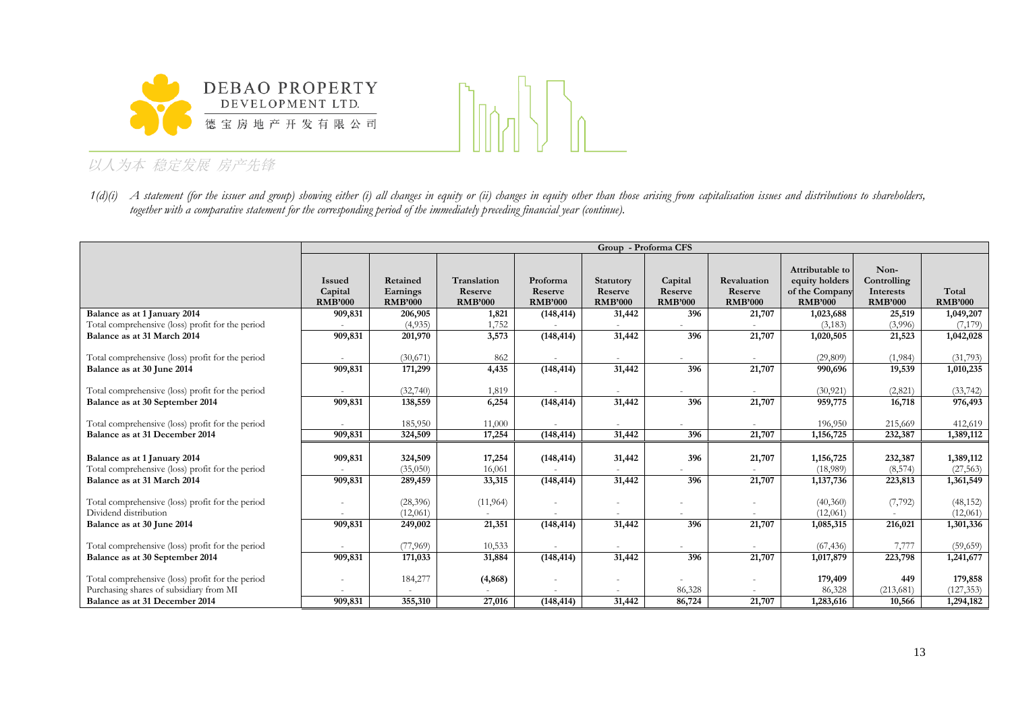



 $1(d)(i)$  A statement (for the issuer and group) showing either (i) all changes in equity or (ii) changes in equity other than those arising from capitalisation issues and distributions to shareholders, *together with a comparative statement for the corresponding period of the immediately preceding financial year (continue).*

|                                                                                  | Group - Proforma CFS                       |                                        |                                          |                                       |                                               |                                      |                                          |                                                                       |                                                    |                         |  |
|----------------------------------------------------------------------------------|--------------------------------------------|----------------------------------------|------------------------------------------|---------------------------------------|-----------------------------------------------|--------------------------------------|------------------------------------------|-----------------------------------------------------------------------|----------------------------------------------------|-------------------------|--|
|                                                                                  | <b>Issued</b><br>Capital<br><b>RMB'000</b> | Retained<br>Earnings<br><b>RMB'000</b> | Translation<br>Reserve<br><b>RMB'000</b> | Proforma<br>Reserve<br><b>RMB'000</b> | <b>Statutory</b><br>Reserve<br><b>RMB'000</b> | Capital<br>Reserve<br><b>RMB'000</b> | Revaluation<br>Reserve<br><b>RMB'000</b> | Attributable to<br>equity holders<br>of the Company<br><b>RMB'000</b> | Non-<br>Controlling<br>Interests<br><b>RMB'000</b> | Total<br><b>RMB'000</b> |  |
| Balance as at 1 January 2014                                                     | 909,831                                    | 206,905                                | 1,821                                    | (148, 414)                            | 31,442                                        | 396                                  | 21,707                                   | 1,023,688                                                             | 25,519                                             | 1,049,207               |  |
| Total comprehensive (loss) profit for the period                                 |                                            | (4,935)                                | 1,752                                    |                                       |                                               |                                      |                                          | (3, 183)                                                              | (3,996)                                            | (7,179)                 |  |
| Balance as at 31 March 2014                                                      | 909,831                                    | 201,970                                | 3,573                                    | (148, 414)                            | 31,442                                        | 396                                  | 21,707                                   | 1,020,505                                                             | 21,523                                             | 1,042,028               |  |
| Total comprehensive (loss) profit for the period                                 |                                            | (30,671)                               | 862                                      |                                       |                                               |                                      |                                          | (29,809)                                                              | (1,984)                                            | (31,793)                |  |
| Balance as at 30 June 2014                                                       | 909,831                                    | 171,299                                | 4,435                                    | (148, 414)                            | 31,442                                        | 396                                  | 21,707                                   | 990,696                                                               | 19,539                                             | 1,010,235               |  |
| Total comprehensive (loss) profit for the period                                 |                                            | (32,740)                               | 1,819                                    |                                       |                                               |                                      |                                          | (30, 921)                                                             | (2,821)                                            | (33, 742)               |  |
| Balance as at 30 September 2014                                                  | 909,831                                    | 138,559                                | 6,254                                    | (148, 414)                            | 31,442                                        | 396                                  | 21,707                                   | 959,775                                                               | 16,718                                             | 976,493                 |  |
| Total comprehensive (loss) profit for the period                                 |                                            | 185,950                                | 11,000                                   |                                       |                                               |                                      |                                          | 196,950                                                               | 215,669                                            | 412,619                 |  |
| Balance as at 31 December 2014                                                   | 909,831                                    | 324,509                                | 17,254                                   | (148, 414)                            | 31,442                                        | 396                                  | 21,707                                   | 1,156,725                                                             | 232,387                                            | 1,389,112               |  |
| Balance as at 1 January 2014<br>Total comprehensive (loss) profit for the period | 909,831                                    | 324,509<br>(35,050)                    | 17,254<br>16,061                         | (148, 414)                            | 31,442                                        | 396                                  | 21,707                                   | 1,156,725<br>(18,989)                                                 | 232,387<br>(8,574)                                 | 1,389,112<br>(27, 563)  |  |
| Balance as at 31 March 2014                                                      | 909,831                                    | 289,459                                | 33,315                                   | (148, 414)                            | 31,442                                        | 396                                  | 21,707                                   | 1,137,736                                                             | 223,813                                            | 1,361,549               |  |
| Total comprehensive (loss) profit for the period<br>Dividend distribution        |                                            | (28, 396)                              | (11, 964)                                |                                       | ٠                                             |                                      |                                          | (40,360)                                                              | (7, 792)                                           | (48, 152)               |  |
|                                                                                  |                                            | (12,061)                               | 21,351                                   |                                       | 31,442                                        | 396                                  |                                          | (12,061)                                                              |                                                    | (12,061)                |  |
| Balance as at 30 June 2014                                                       | 909,831                                    | 249,002                                |                                          | (148, 414)                            |                                               |                                      | 21,707                                   | 1,085,315                                                             | 216,021                                            | 1,301,336               |  |
| Total comprehensive (loss) profit for the period                                 |                                            | (77,969)                               | 10,533                                   |                                       |                                               |                                      |                                          | (67, 436)                                                             | 7,777                                              | (59,659)                |  |
| Balance as at 30 September 2014                                                  | 909,831                                    | 171,033                                | 31,884                                   | (148, 414)                            | 31,442                                        | 396                                  | 21,707                                   | 1,017,879                                                             | 223,798                                            | 1,241,677               |  |
| Total comprehensive (loss) profit for the period                                 |                                            | 184,277                                | (4, 868)                                 |                                       |                                               |                                      | ٠                                        | 179,409                                                               | 449                                                | 179,858                 |  |
| Purchasing shares of subsidiary from MI                                          |                                            | 355,310                                |                                          |                                       |                                               | 86,328                               |                                          | 86,328                                                                | (213, 681)                                         | (127, 353)              |  |
| Balance as at 31 December 2014                                                   | 909,831                                    |                                        | 27,016                                   | (148, 414)                            | 31,442                                        | 86,724                               | 21,707                                   | 1,283,616                                                             | 10,566                                             | 1,294,182               |  |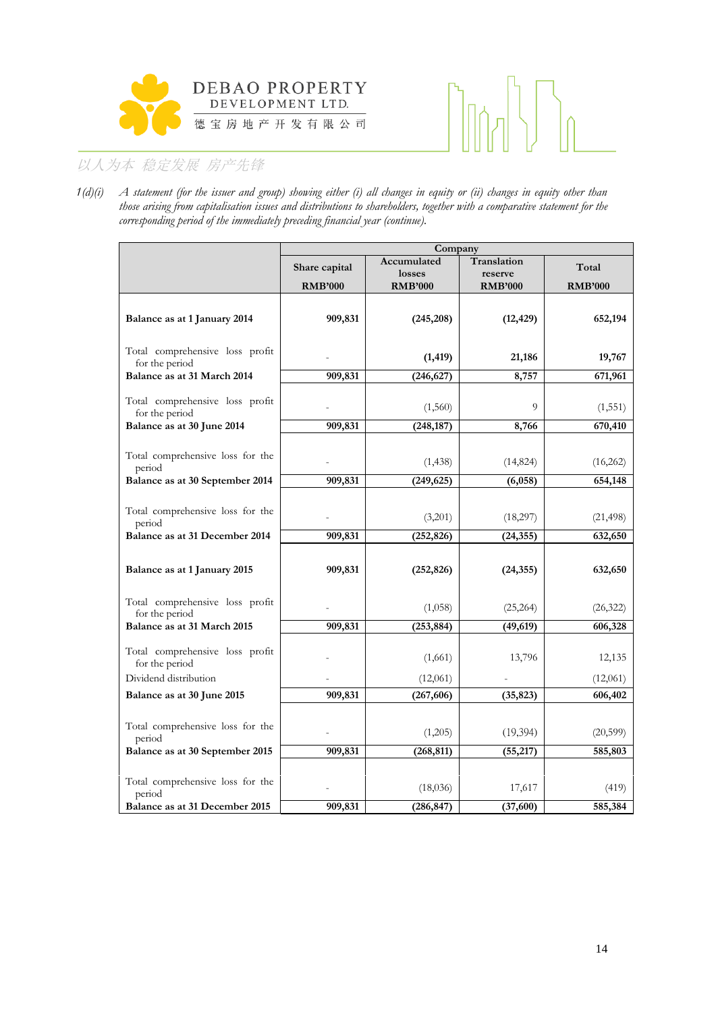



*1(d)(i) A statement (for the issuer and group) showing either (i) all changes in equity or (ii) changes in equity other than those arising from capitalisation issues and distributions to shareholders, together with a comparative statement for the corresponding period of the immediately preceding financial year (continue).*

|                                               |                | Company        |                |                |
|-----------------------------------------------|----------------|----------------|----------------|----------------|
|                                               | Share capital  | Accumulated    | Translation    | Total          |
|                                               |                | losses         | reserve        |                |
|                                               | <b>RMB'000</b> | <b>RMB'000</b> | <b>RMB'000</b> | <b>RMB'000</b> |
|                                               |                |                |                |                |
| Balance as at 1 January 2014                  | 909,831        | (245, 208)     | (12, 429)      | 652,194        |
|                                               |                |                |                |                |
| Total comprehensive loss profit               |                |                | 21,186         | 19,767         |
| for the period                                |                | (1, 419)       |                |                |
| Balance as at 31 March 2014                   | 909,831        | (246, 627)     | 8,757          | 671,961        |
| Total comprehensive loss profit               |                |                |                |                |
| for the period                                |                | (1,560)        | 9              | (1, 551)       |
| Balance as at 30 June 2014                    | 909,831        | (248, 187)     | 8,766          | 670,410        |
|                                               |                |                |                |                |
| Total comprehensive loss for the              |                | (1, 438)       | (14, 824)      | (16,262)       |
| period                                        |                |                |                |                |
| Balance as at 30 September 2014               | 909,831        | (249, 625)     | (6,058)        | 654,148        |
|                                               |                |                |                |                |
| Total comprehensive loss for the              |                | (3,201)        | (18,297)       | (21, 498)      |
| period<br>Balance as at 31 December 2014      | 909,831        | (252, 826)     | (24, 355)      | 632,650        |
|                                               |                |                |                |                |
|                                               |                |                |                |                |
| Balance as at 1 January 2015                  | 909,831        | (252, 826)     | (24, 355)      | 632,650        |
|                                               |                |                |                |                |
| Total comprehensive loss profit               |                | (1,058)        | (25, 264)      | (26, 322)      |
| for the period<br>Balance as at 31 March 2015 | 909,831        | (253, 884)     | (49, 619)      | 606,328        |
|                                               |                |                |                |                |
| Total comprehensive loss profit               |                |                |                |                |
| for the period                                |                | (1,661)        | 13,796         | 12,135         |
| Dividend distribution                         |                | (12,061)       |                | (12,061)       |
| Balance as at 30 June 2015                    | 909,831        | (267, 606)     | (35, 823)      | 606,402        |
|                                               |                |                |                |                |
| Total comprehensive loss for the              |                | (1,205)        | (19, 394)      | (20, 599)      |
| period                                        |                |                |                |                |
| Balance as at 30 September 2015               | 909,831        | (268, 811)     | (55, 217)      | 585,803        |
|                                               |                |                |                |                |
| Total comprehensive loss for the              |                | (18,036)       | 17,617         | (419)          |
| period<br>Balance as at 31 December 2015      | 909,831        | (286, 847)     | (37,600)       | 585,384        |
|                                               |                |                |                |                |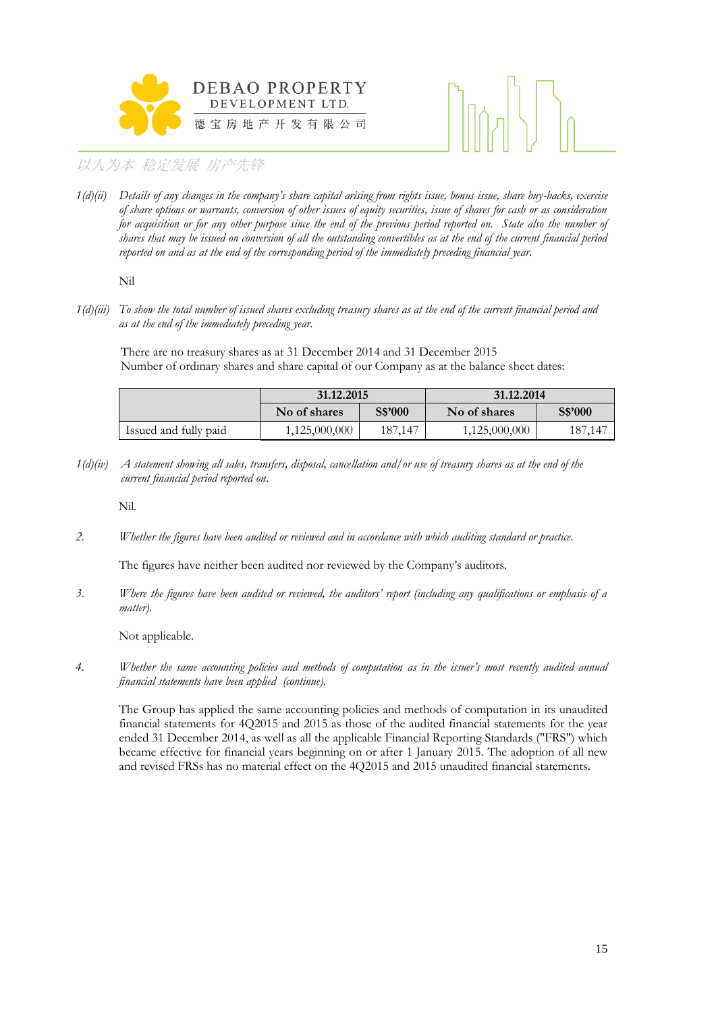



*1(d)(ii) Details of any changes in the company's share capital arising from rights issue, bonus issue, share buy-backs, exercise of share options or warrants, conversion of other issues of equity securities, issue of shares for cash or as consideration*  for acquisition or for any other purpose since the end of the previous period reported on. State also the number of *shares that may be issued on conversion of all the outstanding convertibles as at the end of the current financial period reported on and as at the end of the corresponding period of the immediately preceding financial year.*

Nil

*1(d)(iii) To show the total number of issued shares excluding treasury shares as at the end of the current financial period and as at the end of the immediately preceding year.*

There are no treasury shares as at 31 December 2014 and 31 December 2015 Number of ordinary shares and share capital of our Company as at the balance sheet dates:

|                       | 31.12.2015    |         | 31.12.2014    |         |  |
|-----------------------|---------------|---------|---------------|---------|--|
|                       | No of shares  | S\$'000 | No of shares  | S\$'000 |  |
| Issued and fully paid | 1,125,000,000 | 187,147 | 1,125,000,000 | 187,147 |  |

*1(d)(iv) A statement showing all sales, transfers, disposal, cancellation and/or use of treasury shares as at the end of the current financial period reported on*.

Nil.

*2. Whether the figures have been audited or reviewed and in accordance with which auditing standard or practice.*

The figures have neither been audited nor reviewed by the Company's auditors.

*3. Where the figures have been audited or reviewed, the auditors' report (including any qualifications or emphasis of a matter).*

Not applicable.

*4. Whether the same accounting policies and methods of computation as in the issuer's most recently audited annual financial statements have been applied (continue).*

The Group has applied the same accounting policies and methods of computation in its unaudited financial statements for 4Q2015 and 2015 as those of the audited financial statements for the year ended 31 December 2014, as well as all the applicable Financial Reporting Standards ("FRS") which became effective for financial years beginning on or after 1 January 2015. The adoption of all new and revised FRSs has no material effect on the 4Q2015 and 2015 unaudited financial statements.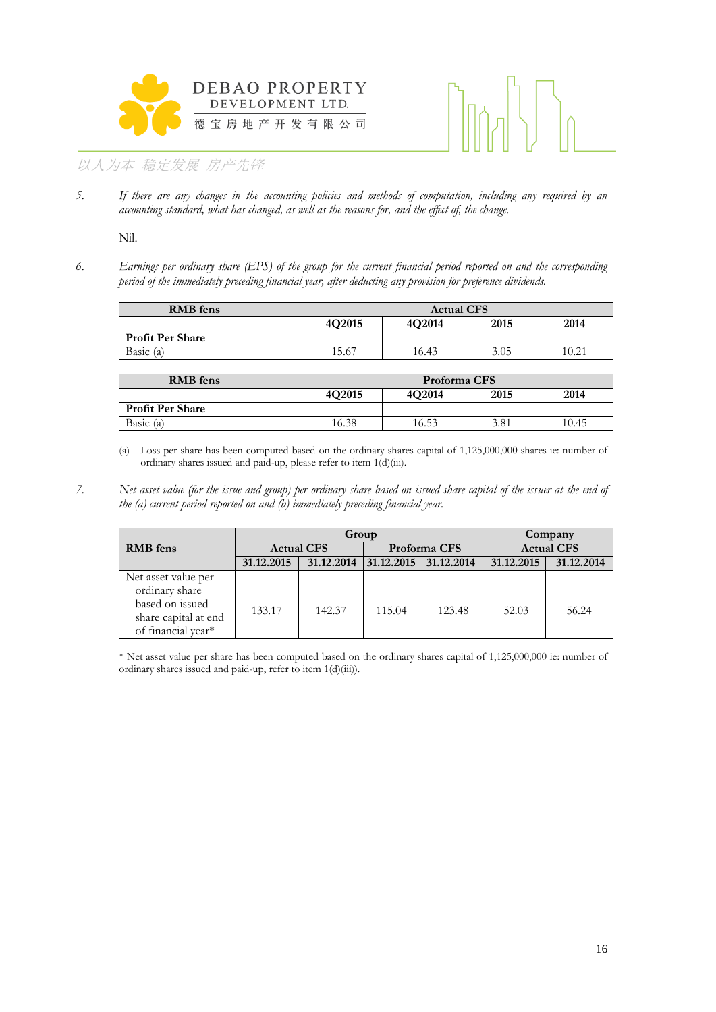



*5. If there are any changes in the accounting policies and methods of computation, including any required by an accounting standard, what has changed, as well as the reasons for, and the effect of, the change.*

Nil.

*6. Earnings per ordinary share (EPS) of the group for the current financial period reported on and the corresponding period of the immediately preceding financial year, after deducting any provision for preference dividends.*

| <b>RMB</b> fens         | <b>Actual CFS</b> |        |      |       |  |  |
|-------------------------|-------------------|--------|------|-------|--|--|
|                         | 4Q2015            | 4O2014 | 2015 | 2014  |  |  |
| <b>Profit Per Share</b> |                   |        |      |       |  |  |
| Basic $(a)$             | 15.67             | 16.43  | 3.05 | 10.21 |  |  |

| <b>RMB</b> fens         | Proforma CFS |        |      |       |  |  |
|-------------------------|--------------|--------|------|-------|--|--|
|                         | 4Q2015       | 4O2014 | 2015 | 2014  |  |  |
| <b>Profit Per Share</b> |              |        |      |       |  |  |
| Basic $(a)$             | 16.38        | 16.53  | 3.81 | 10.45 |  |  |

(a) Loss per share has been computed based on the ordinary shares capital of 1,125,000,000 shares ie: number of ordinary shares issued and paid-up, please refer to item 1(d)(iii).

*7. Net asset value (for the issue and group) per ordinary share based on issued share capital of the issuer at the end of the (a) current period reported on and (b) immediately preceding financial year.*

|                      | Group             |            |              |            | Company           |            |
|----------------------|-------------------|------------|--------------|------------|-------------------|------------|
| <b>RMB</b> fens      | <b>Actual CFS</b> |            | Proforma CFS |            | <b>Actual CFS</b> |            |
|                      | 31.12.2015        | 31.12.2014 | 31.12.2015   | 31.12.2014 | 31.12.2015        | 31.12.2014 |
| Net asset value per  |                   |            |              |            |                   |            |
| ordinary share       |                   |            |              |            |                   |            |
| based on issued      | 133.17            | 142.37     | 115.04       | 123.48     | 52.03             | 56.24      |
| share capital at end |                   |            |              |            |                   |            |
| of financial year*   |                   |            |              |            |                   |            |

\* Net asset value per share has been computed based on the ordinary shares capital of 1,125,000,000 ie: number of ordinary shares issued and paid-up, refer to item 1(d)(iii)).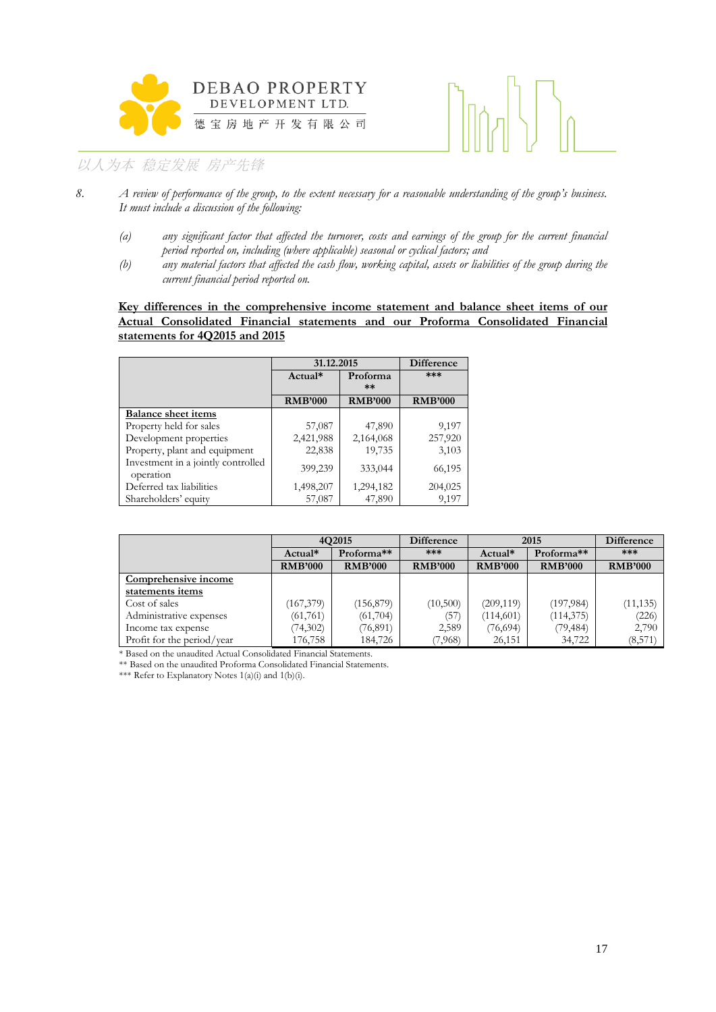



- *8. A review of performance of the group, to the extent necessary for a reasonable understanding of the group's business. It must include a discussion of the following:*
	- *(a) any significant factor that affected the turnover, costs and earnings of the group for the current financial period reported on, including (where applicable) seasonal or cyclical factors; and*
	- *(b) any material factors that affected the cash flow, working capital, assets or liabilities of the group during the current financial period reported on.*

#### **Key differences in the comprehensive income statement and balance sheet items of our Actual Consolidated Financial statements and our Proforma Consolidated Financial statements for 4Q2015 and 2015**

|                                                 | 31.12.2015     |                  | <b>Difference</b> |  |
|-------------------------------------------------|----------------|------------------|-------------------|--|
|                                                 | Actual*        | Proforma<br>$**$ | ***               |  |
|                                                 | <b>RMB'000</b> | <b>RMB'000</b>   | <b>RMB'000</b>    |  |
| <b>Balance sheet items</b>                      |                |                  |                   |  |
| Property held for sales                         | 57,087         | 47,890           | 9,197             |  |
| Development properties                          | 2,421,988      | 2,164,068        | 257,920           |  |
| Property, plant and equipment                   | 22,838         | 19,735           | 3,103             |  |
| Investment in a jointly controlled<br>operation | 399,239        | 333,044          | 66,195            |  |
| Deferred tax liabilities                        | 1,498,207      | 1,294,182        | 204,025           |  |
| Shareholders' equity                            | 57,087         | 47,890           | 9,197             |  |

|                            | 4O2015         |                | <b>Difference</b> | 2015           |                        |                |
|----------------------------|----------------|----------------|-------------------|----------------|------------------------|----------------|
|                            | Actual*        | Proforma**     | ***               | $Actual*$      | Proforma <sup>**</sup> | ***            |
|                            | <b>RMB'000</b> | <b>RMB'000</b> | <b>RMB'000</b>    | <b>RMB'000</b> | <b>RMB'000</b>         | <b>RMB'000</b> |
| Comprehensive income       |                |                |                   |                |                        |                |
| statements items           |                |                |                   |                |                        |                |
| Cost of sales              | (167,379)      | (156, 879)     | (10, 500)         | (209, 119)     | (197, 984)             | (11, 135)      |
| Administrative expenses    | (61, 761)      | (61, 704)      | (57)              | (114,601)      | (114, 375)             | (226)          |
| Income tax expense         | (74,302)       | (76, 891)      | 2,589             | (76, 694)      | (79, 484)              | 2,790          |
| Profit for the period/year | 176,758        | 184,726        | 7,968)            | 26,151         | 34,722                 | (8,571)        |

\* Based on the unaudited Actual Consolidated Financial Statements.

\*\* Based on the unaudited Proforma Consolidated Financial Statements.

\*\*\* Refer to Explanatory Notes 1(a)(i) and 1(b)(i).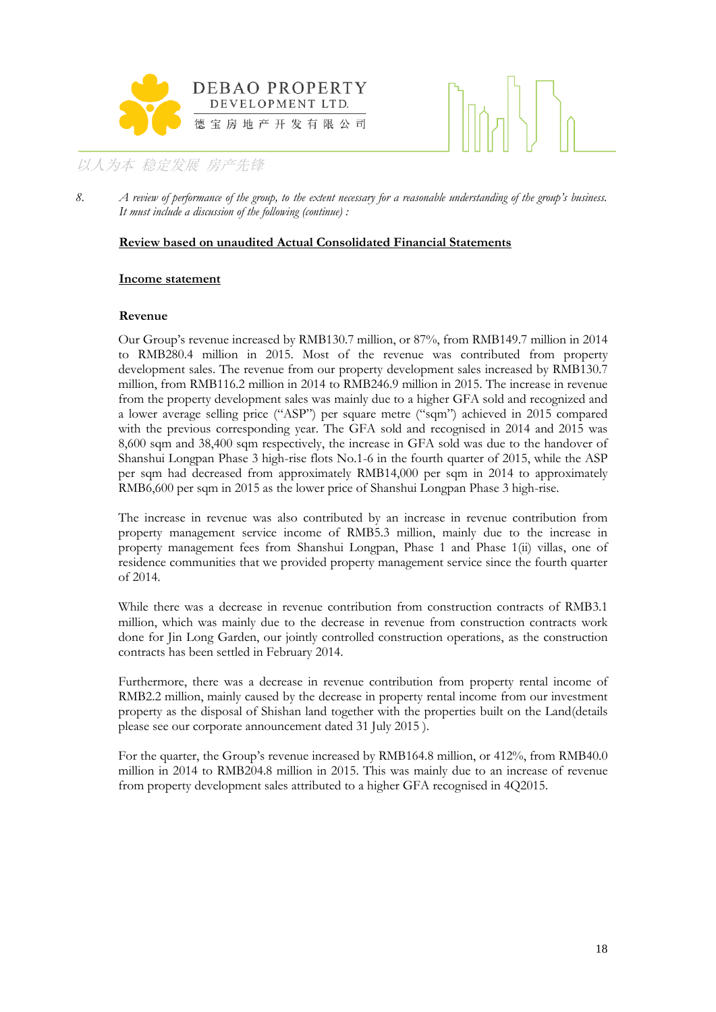



8. *A review of performance of the group, to the extent necessary for a reasonable understanding of the group's business. It must include a discussion of the following (continue) :*

#### **Review based on unaudited Actual Consolidated Financial Statements**

#### **Income statement**

#### **Revenue**

Our Group's revenue increased by RMB130.7 million, or 87%, from RMB149.7 million in 2014 to RMB280.4 million in 2015. Most of the revenue was contributed from property development sales. The revenue from our property development sales increased by RMB130.7 million, from RMB116.2 million in 2014 to RMB246.9 million in 2015. The increase in revenue from the property development sales was mainly due to a higher GFA sold and recognized and a lower average selling price ("ASP") per square metre ("sqm") achieved in 2015 compared with the previous corresponding year. The GFA sold and recognised in 2014 and 2015 was 8,600 sqm and 38,400 sqm respectively, the increase in GFA sold was due to the handover of Shanshui Longpan Phase 3 high-rise flots No.1-6 in the fourth quarter of 2015, while the ASP per sqm had decreased from approximately RMB14,000 per sqm in 2014 to approximately RMB6,600 per sqm in 2015 as the lower price of Shanshui Longpan Phase 3 high-rise.

The increase in revenue was also contributed by an increase in revenue contribution from property management service income of RMB5.3 million, mainly due to the increase in property management fees from Shanshui Longpan, Phase 1 and Phase 1(ii) villas, one of residence communities that we provided property management service since the fourth quarter of 2014.

While there was a decrease in revenue contribution from construction contracts of RMB3.1 million, which was mainly due to the decrease in revenue from construction contracts work done for Jin Long Garden, our jointly controlled construction operations, as the construction contracts has been settled in February 2014.

Furthermore, there was a decrease in revenue contribution from property rental income of RMB2.2 million, mainly caused by the decrease in property rental income from our investment property as the disposal of Shishan land together with the properties built on the Land(details please see our corporate announcement dated 31 July 2015 ).

For the quarter, the Group's revenue increased by RMB164.8 million, or 412%, from RMB40.0 million in 2014 to RMB204.8 million in 2015. This was mainly due to an increase of revenue from property development sales attributed to a higher GFA recognised in 4Q2015.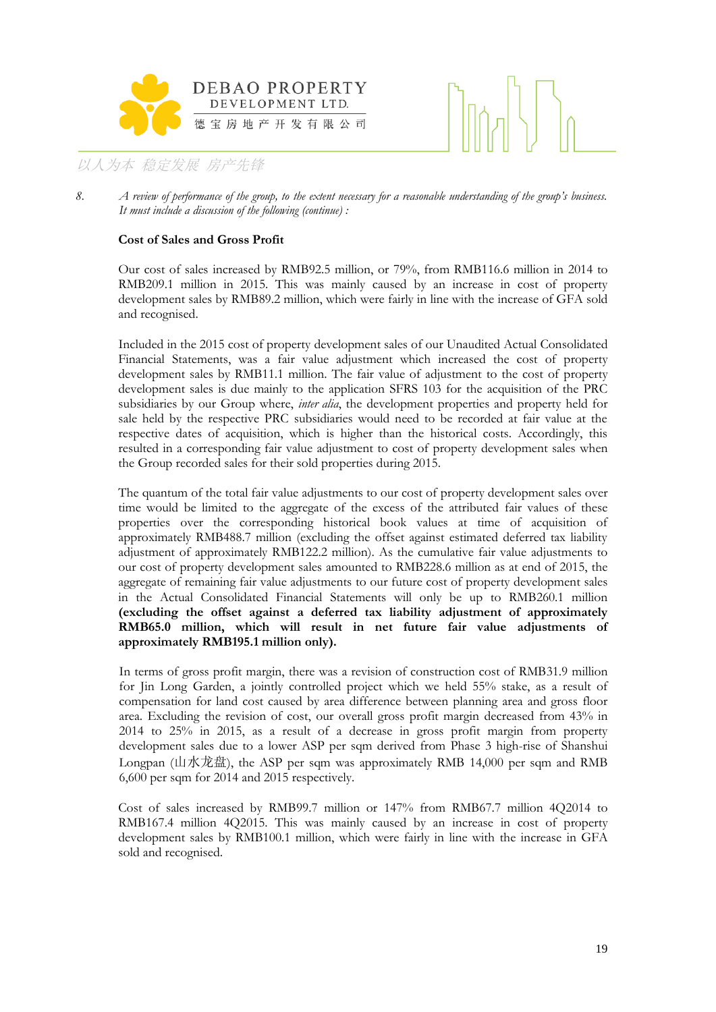



#### **Cost of Sales and Gross Profit**

Our cost of sales increased by RMB92.5 million, or 79%, from RMB116.6 million in 2014 to RMB209.1 million in 2015. This was mainly caused by an increase in cost of property development sales by RMB89.2 million, which were fairly in line with the increase of GFA sold and recognised.

Included in the 2015 cost of property development sales of our Unaudited Actual Consolidated Financial Statements, was a fair value adjustment which increased the cost of property development sales by RMB11.1 million. The fair value of adjustment to the cost of property development sales is due mainly to the application SFRS 103 for the acquisition of the PRC subsidiaries by our Group where, *inter alia*, the development properties and property held for sale held by the respective PRC subsidiaries would need to be recorded at fair value at the respective dates of acquisition, which is higher than the historical costs. Accordingly, this resulted in a corresponding fair value adjustment to cost of property development sales when the Group recorded sales for their sold properties during 2015.

The quantum of the total fair value adjustments to our cost of property development sales over time would be limited to the aggregate of the excess of the attributed fair values of these properties over the corresponding historical book values at time of acquisition of approximately RMB488.7 million (excluding the offset against estimated deferred tax liability adjustment of approximately RMB122.2 million). As the cumulative fair value adjustments to our cost of property development sales amounted to RMB228.6 million as at end of 2015, the aggregate of remaining fair value adjustments to our future cost of property development sales in the Actual Consolidated Financial Statements will only be up to RMB260.1 million **(excluding the offset against a deferred tax liability adjustment of approximately RMB65.0 million, which will result in net future fair value adjustments of approximately RMB195.1 million only).**

In terms of gross profit margin, there was a revision of construction cost of RMB31.9 million for Jin Long Garden, a jointly controlled project which we held 55% stake, as a result of compensation for land cost caused by area difference between planning area and gross floor area. Excluding the revision of cost, our overall gross profit margin decreased from 43% in 2014 to 25% in 2015, as a result of a decrease in gross profit margin from property development sales due to a lower ASP per sqm derived from Phase 3 high-rise of Shanshui Longpan (山水龙盘), the ASP per sqm was approximately RMB 14,000 per sqm and RMB 6,600 per sqm for 2014 and 2015 respectively.

Cost of sales increased by RMB99.7 million or 147% from RMB67.7 million 4Q2014 to RMB167.4 million 4Q2015. This was mainly caused by an increase in cost of property development sales by RMB100.1 million, which were fairly in line with the increase in GFA sold and recognised.

<sup>8.</sup> *A review of performance of the group, to the extent necessary for a reasonable understanding of the group's business. It must include a discussion of the following (continue) :*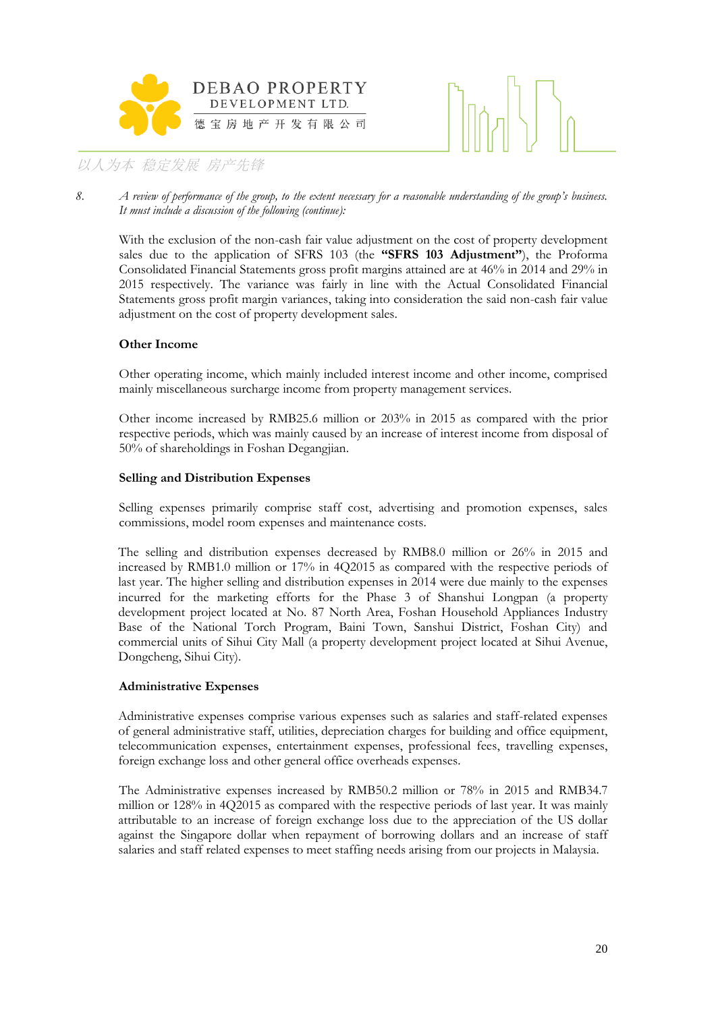



*8. A review of performance of the group, to the extent necessary for a reasonable understanding of the group's business. It must include a discussion of the following (continue):*

With the exclusion of the non-cash fair value adjustment on the cost of property development sales due to the application of SFRS 103 (the **"SFRS 103 Adjustment"**), the Proforma Consolidated Financial Statements gross profit margins attained are at 46% in 2014 and 29% in 2015 respectively. The variance was fairly in line with the Actual Consolidated Financial Statements gross profit margin variances, taking into consideration the said non-cash fair value adjustment on the cost of property development sales.

#### **Other Income**

Other operating income, which mainly included interest income and other income, comprised mainly miscellaneous surcharge income from property management services.

Other income increased by RMB25.6 million or 203% in 2015 as compared with the prior respective periods, which was mainly caused by an increase of interest income from disposal of 50% of shareholdings in Foshan Degangjian.

#### **Selling and Distribution Expenses**

Selling expenses primarily comprise staff cost, advertising and promotion expenses, sales commissions, model room expenses and maintenance costs.

The selling and distribution expenses decreased by RMB8.0 million or 26% in 2015 and increased by RMB1.0 million or 17% in 4Q2015 as compared with the respective periods of last year. The higher selling and distribution expenses in 2014 were due mainly to the expenses incurred for the marketing efforts for the Phase 3 of Shanshui Longpan (a property development project located at No. 87 North Area, Foshan Household Appliances Industry Base of the National Torch Program, Baini Town, Sanshui District, Foshan City) and commercial units of Sihui City Mall (a property development project located at Sihui Avenue, Dongcheng, Sihui City).

#### **Administrative Expenses**

Administrative expenses comprise various expenses such as salaries and staff-related expenses of general administrative staff, utilities, depreciation charges for building and office equipment, telecommunication expenses, entertainment expenses, professional fees, travelling expenses, foreign exchange loss and other general office overheads expenses.

The Administrative expenses increased by RMB50.2 million or 78% in 2015 and RMB34.7 million or 128% in 4Q2015 as compared with the respective periods of last year. It was mainly attributable to an increase of foreign exchange loss due to the appreciation of the US dollar against the Singapore dollar when repayment of borrowing dollars and an increase of staff salaries and staff related expenses to meet staffing needs arising from our projects in Malaysia.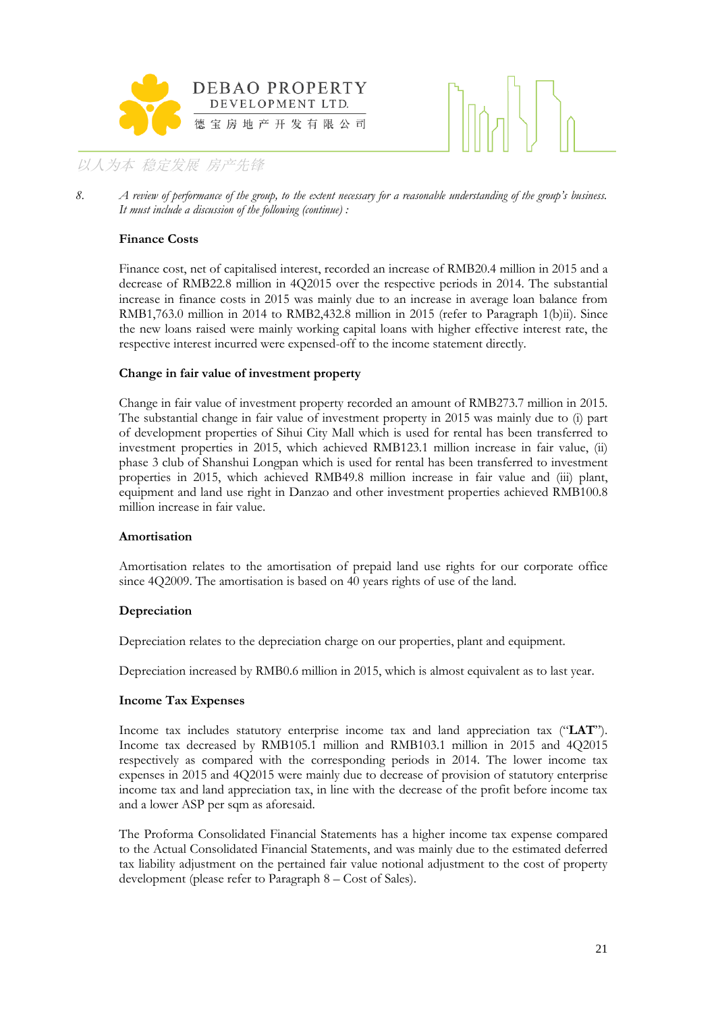



8. *A review of performance of the group, to the extent necessary for a reasonable understanding of the group's business. It must include a discussion of the following (continue) :*

#### **Finance Costs**

Finance cost, net of capitalised interest, recorded an increase of RMB20.4 million in 2015 and a decrease of RMB22.8 million in 4Q2015 over the respective periods in 2014. The substantial increase in finance costs in 2015 was mainly due to an increase in average loan balance from RMB1,763.0 million in 2014 to RMB2,432.8 million in 2015 (refer to Paragraph 1(b)ii). Since the new loans raised were mainly working capital loans with higher effective interest rate, the respective interest incurred were expensed-off to the income statement directly.

#### **Change in fair value of investment property**

Change in fair value of investment property recorded an amount of RMB273.7 million in 2015. The substantial change in fair value of investment property in 2015 was mainly due to (i) part of development properties of Sihui City Mall which is used for rental has been transferred to investment properties in 2015, which achieved RMB123.1 million increase in fair value, (ii) phase 3 club of Shanshui Longpan which is used for rental has been transferred to investment properties in 2015, which achieved RMB49.8 million increase in fair value and (iii) plant, equipment and land use right in Danzao and other investment properties achieved RMB100.8 million increase in fair value.

#### **Amortisation**

Amortisation relates to the amortisation of prepaid land use rights for our corporate office since 4Q2009. The amortisation is based on 40 years rights of use of the land.

#### **Depreciation**

Depreciation relates to the depreciation charge on our properties, plant and equipment.

Depreciation increased by RMB0.6 million in 2015, which is almost equivalent as to last year.

#### **Income Tax Expenses**

Income tax includes statutory enterprise income tax and land appreciation tax ("**LAT**"). Income tax decreased by RMB105.1 million and RMB103.1 million in 2015 and 4Q2015 respectively as compared with the corresponding periods in 2014. The lower income tax expenses in 2015 and 4Q2015 were mainly due to decrease of provision of statutory enterprise income tax and land appreciation tax, in line with the decrease of the profit before income tax and a lower ASP per sqm as aforesaid.

The Proforma Consolidated Financial Statements has a higher income tax expense compared to the Actual Consolidated Financial Statements, and was mainly due to the estimated deferred tax liability adjustment on the pertained fair value notional adjustment to the cost of property development (please refer to Paragraph 8 – Cost of Sales).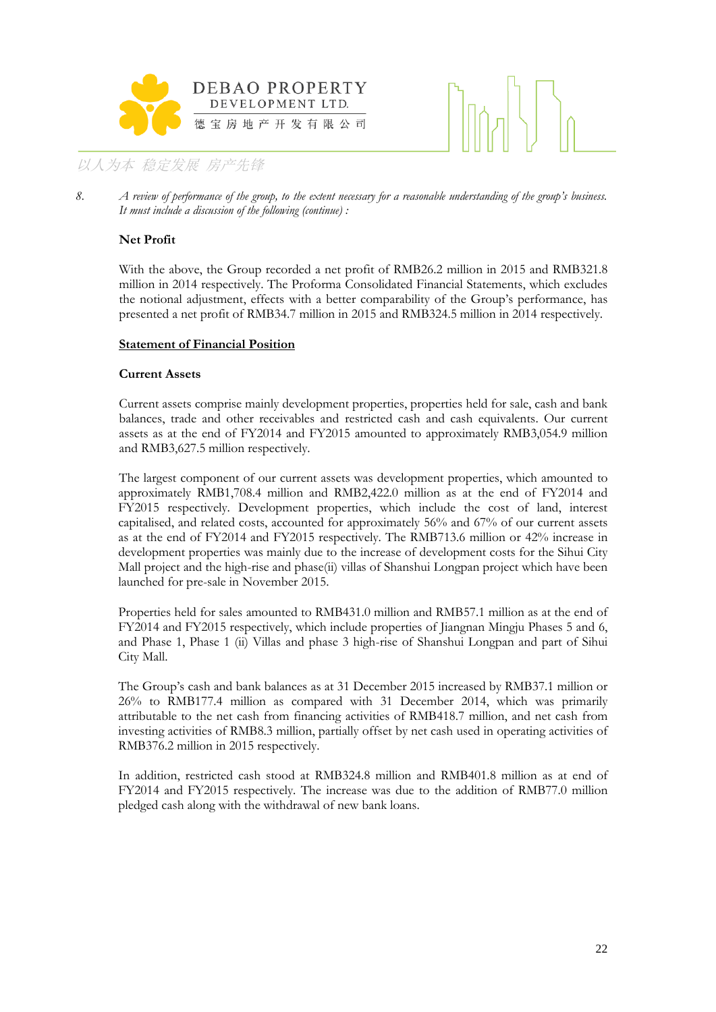



8. *A review of performance of the group, to the extent necessary for a reasonable understanding of the group's business. It must include a discussion of the following (continue) :*

#### **Net Profit**

With the above, the Group recorded a net profit of RMB26.2 million in 2015 and RMB321.8 million in 2014 respectively. The Proforma Consolidated Financial Statements, which excludes the notional adjustment, effects with a better comparability of the Group's performance, has presented a net profit of RMB34.7 million in 2015 and RMB324.5 million in 2014 respectively.

#### **Statement of Financial Position**

#### **Current Assets**

Current assets comprise mainly development properties, properties held for sale, cash and bank balances, trade and other receivables and restricted cash and cash equivalents. Our current assets as at the end of FY2014 and FY2015 amounted to approximately RMB3,054.9 million and RMB3,627.5 million respectively.

The largest component of our current assets was development properties, which amounted to approximately RMB1,708.4 million and RMB2,422.0 million as at the end of FY2014 and FY2015 respectively. Development properties, which include the cost of land, interest capitalised, and related costs, accounted for approximately 56% and 67% of our current assets as at the end of FY2014 and FY2015 respectively. The RMB713.6 million or 42% increase in development properties was mainly due to the increase of development costs for the Sihui City Mall project and the high-rise and phase(ii) villas of Shanshui Longpan project which have been launched for pre-sale in November 2015.

Properties held for sales amounted to RMB431.0 million and RMB57.1 million as at the end of FY2014 and FY2015 respectively, which include properties of Jiangnan Mingju Phases 5 and 6, and Phase 1, Phase 1 (ii) Villas and phase 3 high-rise of Shanshui Longpan and part of Sihui City Mall.

The Group's cash and bank balances as at 31 December 2015 increased by RMB37.1 million or 26% to RMB177.4 million as compared with 31 December 2014, which was primarily attributable to the net cash from financing activities of RMB418.7 million, and net cash from investing activities of RMB8.3 million, partially offset by net cash used in operating activities of RMB376.2 million in 2015 respectively.

In addition, restricted cash stood at RMB324.8 million and RMB401.8 million as at end of FY2014 and FY2015 respectively. The increase was due to the addition of RMB77.0 million pledged cash along with the withdrawal of new bank loans.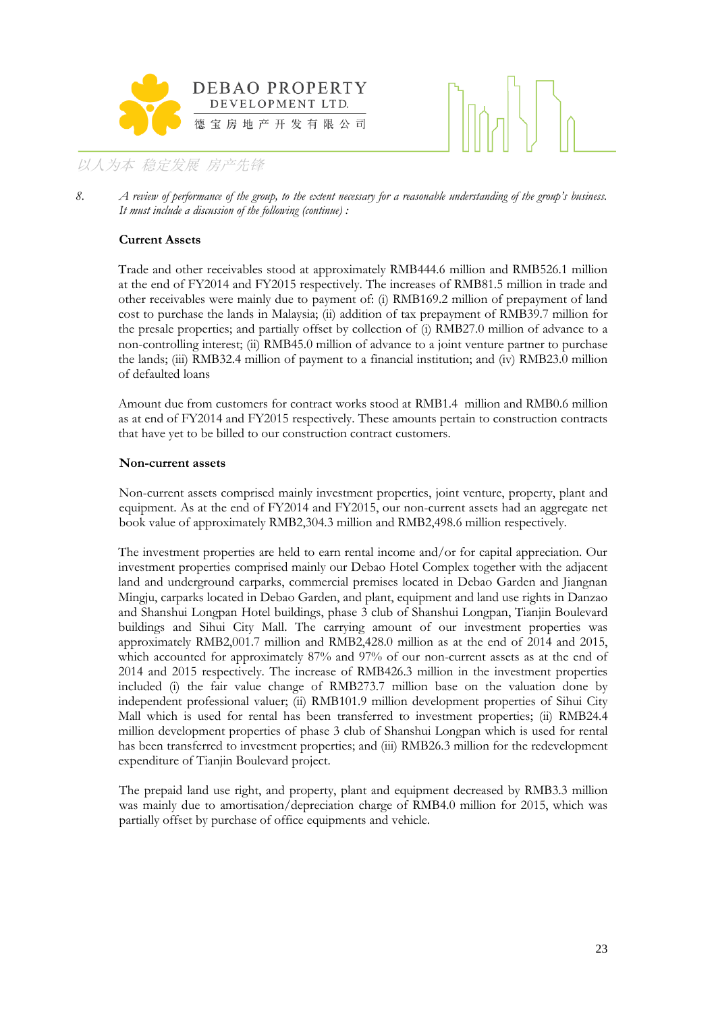



8. *A review of performance of the group, to the extent necessary for a reasonable understanding of the group's business. It must include a discussion of the following (continue) :*

#### **Current Assets**

Trade and other receivables stood at approximately RMB444.6 million and RMB526.1 million at the end of FY2014 and FY2015 respectively. The increases of RMB81.5 million in trade and other receivables were mainly due to payment of: (i) RMB169.2 million of prepayment of land cost to purchase the lands in Malaysia; (ii) addition of tax prepayment of RMB39.7 million for the presale properties; and partially offset by collection of (i) RMB27.0 million of advance to a non-controlling interest; (ii) RMB45.0 million of advance to a joint venture partner to purchase the lands; (iii) RMB32.4 million of payment to a financial institution; and (iv) RMB23.0 million of defaulted loans

Amount due from customers for contract works stood at RMB1.4 million and RMB0.6 million as at end of FY2014 and FY2015 respectively. These amounts pertain to construction contracts that have yet to be billed to our construction contract customers.

#### **Non-current assets**

Non-current assets comprised mainly investment properties, joint venture, property, plant and equipment. As at the end of FY2014 and FY2015, our non-current assets had an aggregate net book value of approximately RMB2,304.3 million and RMB2,498.6 million respectively.

The investment properties are held to earn rental income and/or for capital appreciation. Our investment properties comprised mainly our Debao Hotel Complex together with the adjacent land and underground carparks, commercial premises located in Debao Garden and Jiangnan Mingju, carparks located in Debao Garden, and plant, equipment and land use rights in Danzao and Shanshui Longpan Hotel buildings, phase 3 club of Shanshui Longpan, Tianjin Boulevard buildings and Sihui City Mall. The carrying amount of our investment properties was approximately RMB2,001.7 million and RMB2,428.0 million as at the end of 2014 and 2015, which accounted for approximately 87% and 97% of our non-current assets as at the end of 2014 and 2015 respectively. The increase of RMB426.3 million in the investment properties included (i) the fair value change of RMB273.7 million base on the valuation done by independent professional valuer; (ii) RMB101.9 million development properties of Sihui City Mall which is used for rental has been transferred to investment properties; (ii) RMB24.4 million development properties of phase 3 club of Shanshui Longpan which is used for rental has been transferred to investment properties; and (iii) RMB26.3 million for the redevelopment expenditure of Tianjin Boulevard project.

The prepaid land use right, and property, plant and equipment decreased by RMB3.3 million was mainly due to amortisation/depreciation charge of RMB4.0 million for 2015, which was partially offset by purchase of office equipments and [vehicle.](app:ds:vehicle)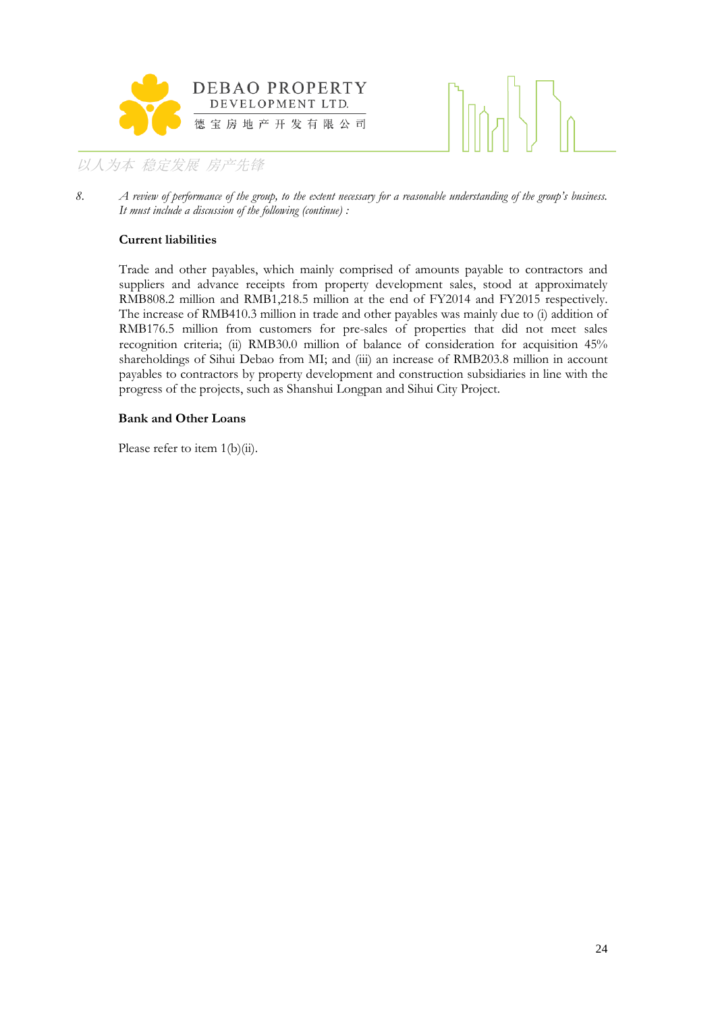



*8. A review of performance of the group, to the extent necessary for a reasonable understanding of the group's business. It must include a discussion of the following (continue) :*

#### **Current liabilities**

Trade and other payables, which mainly comprised of amounts payable to contractors and suppliers and advance receipts from property development sales, stood at approximately RMB808.2 million and RMB1,218.5 million at the end of FY2014 and FY2015 respectively. The increase of RMB410.3 million in trade and other payables was mainly due to (i) addition of RMB176.5 million from customers for pre-sales of properties that did not meet sales recognition criteria; (ii) RMB30.0 million of balance of consideration for acquisition 45% shareholdings of Sihui Debao from MI; and (iii) an increase of RMB203.8 million in account payables to contractors by property development and construction subsidiaries in line with the progress of the projects, such as Shanshui Longpan and Sihui City Project.

#### **Bank and Other Loans**

Please refer to item 1(b)(ii).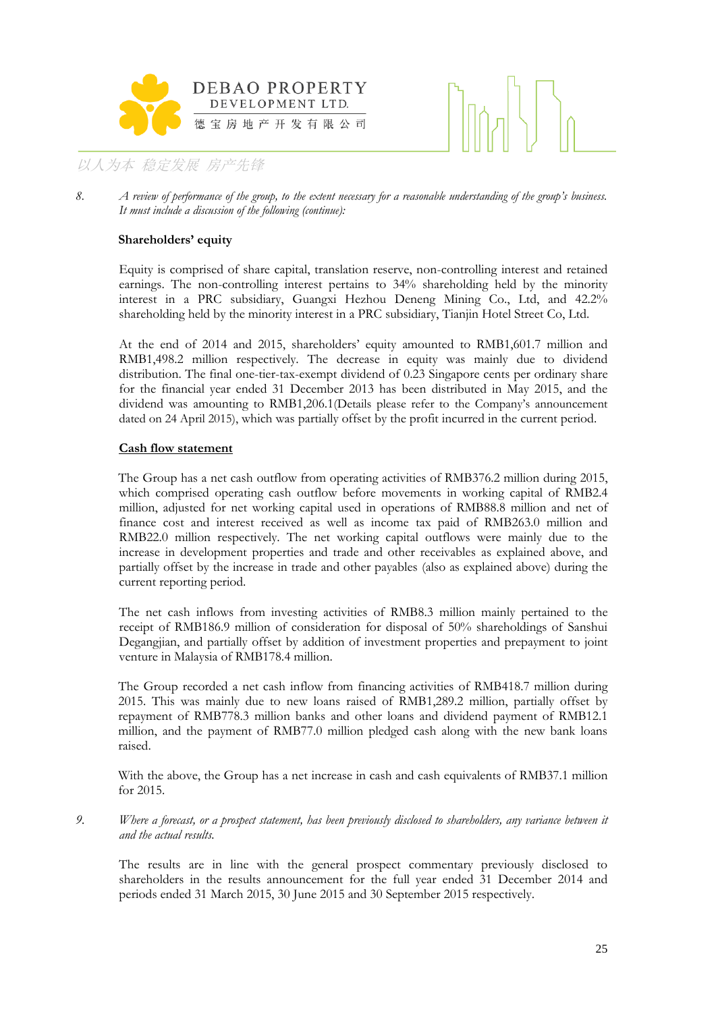



*8. A review of performance of the group, to the extent necessary for a reasonable understanding of the group's business. It must include a discussion of the following (continue):*

#### **Shareholders' equity**

Equity is comprised of share capital, translation reserve, non-controlling interest and retained earnings. The non-controlling interest pertains to 34% shareholding held by the minority interest in a PRC subsidiary, Guangxi Hezhou Deneng Mining Co., Ltd, and 42.2% shareholding held by the minority interest in a PRC subsidiary, Tianjin Hotel Street Co, Ltd.

At the end of 2014 and 2015, shareholders' equity amounted to RMB1,601.7 million and RMB1,498.2 million respectively. The decrease in equity was mainly due to dividend distribution. The final one-tier-tax-exempt dividend of 0.23 Singapore cents per ordinary share for the financial year ended 31 December 2013 has been distributed in May 2015, and the dividend was amounting to RMB1,206.1(Details please refer to the Company's announcement dated on 24 April 2015), which was partially offset by the profit incurred in the current period.

#### **Cash flow statement**

The Group has a net cash outflow from operating activities of RMB376.2 million during 2015, which comprised operating cash outflow before movements in working capital of RMB2.4 million, adjusted for net working capital used in operations of RMB88.8 million and net of finance cost and interest received as well as income tax paid of RMB263.0 million and RMB22.0 million respectively. The net working capital outflows were mainly due to the increase in development properties and trade and other receivables as explained above, and partially offset by the increase in trade and other payables (also as explained above) during the current reporting period.

The net cash inflows from investing activities of RMB8.3 million mainly pertained to the receipt of RMB186.9 million of consideration for disposal of 50% shareholdings of Sanshui Degangjian, and partially offset by addition of investment properties and prepayment to joint venture in Malaysia of RMB178.4 million.

The Group recorded a net cash inflow from financing activities of RMB418.7 million during 2015. This was mainly due to new loans raised of RMB1,289.2 million, partially offset by repayment of RMB778.3 million banks and other loans and dividend payment of RMB12.1 million, and the payment of RMB77.0 million pledged cash along with the new bank loans raised.

With the above, the Group has a net increase in cash and cash equivalents of RMB37.1 million for 2015.

*9. Where a forecast, or a prospect statement, has been previously disclosed to shareholders, any variance between it and the actual results.*

The results are in line with the general prospect commentary previously disclosed to shareholders in the results announcement for the full year ended 31 December 2014 and periods ended 31 March 2015, 30 June 2015 and 30 September 2015 respectively.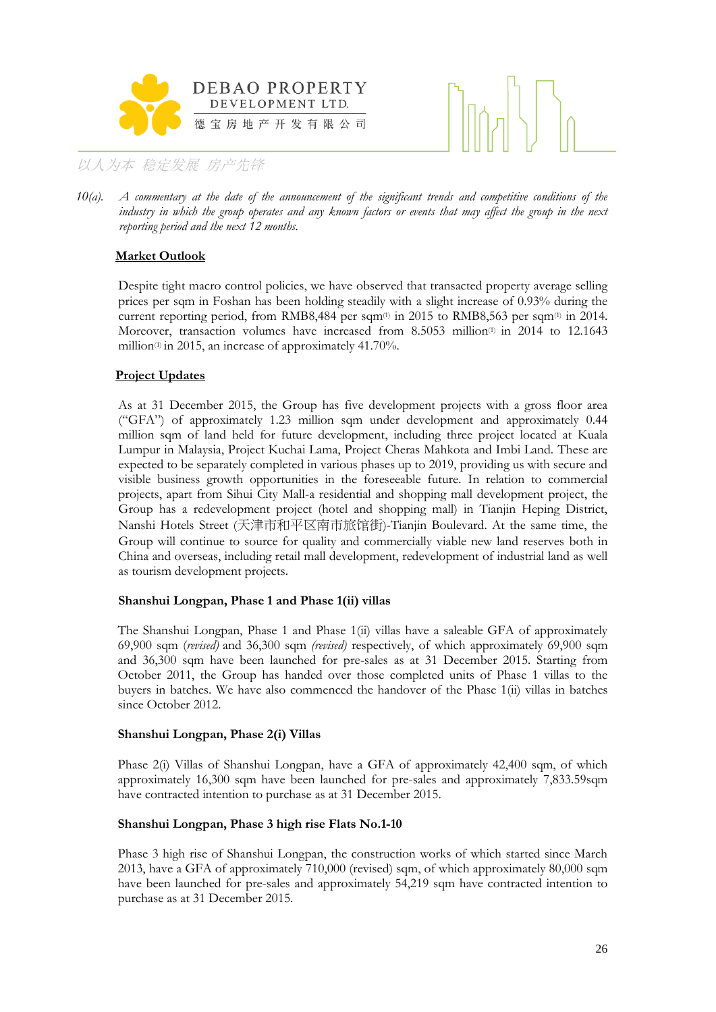



*10(a). A commentary at the date of the announcement of the significant trends and competitive conditions of the industry in which the group operates and any known factors or events that may affect the group in the next reporting period and the next 12 months.*

#### **Market Outlook**

Despite tight macro control policies, we have observed that transacted property average selling prices per sqm in Foshan has been holding steadily with a slight increase of 0.93% during the current reporting period, from RMB8,484 per sqm(1) in 2015 to RMB8,563 per sqm(1) in 2014. Moreover, transaction volumes have increased from 8.5053 million<sup>(1)</sup> in 2014 to 12.1643 million(1) in 2015, an increase of approximately 41.70%.

#### **Project Updates**

As at 31 December 2015, the Group has five development projects with a gross floor area ("GFA") of approximately 1.23 million sqm under development and approximately 0.44 million sqm of land held for future development, including three project located at Kuala Lumpur in Malaysia, Project Kuchai Lama, Project Cheras Mahkota and Imbi Land. These are expected to be separately completed in various phases up to 2019, providing us with secure and visible business growth opportunities in the foreseeable future. In relation to commercial projects, apart from Sihui City Mall-a residential and shopping mall development project, the Group has a redevelopment project (hotel and shopping mall) in Tianjin Heping District, Nanshi Hotels Street (天津市和平区南市旅馆街)-Tianjin Boulevard. At the same time, the Group will continue to source for quality and commercially viable new land reserves both in China and overseas, including retail mall development, redevelopment of industrial land as well as tourism development projects.

#### **Shanshui Longpan, Phase 1 and Phase 1(ii) villas**

The Shanshui Longpan, Phase 1 and Phase 1(ii) villas have a saleable GFA of approximately 69,900 sqm (*revised)* and 36,300 sqm *(revised)* respectively, of which approximately 69,900 sqm and 36,300 sqm have been launched for pre-sales as at 31 December 2015. Starting from October 2011, the Group has handed over those completed units of Phase 1 villas to the buyers in batches. We have also commenced the handover of the Phase 1(ii) villas in batches since October 2012.

#### **Shanshui Longpan, Phase 2(i) Villas**

Phase 2(i) Villas of Shanshui Longpan, have a GFA of approximately 42,400 sqm, of which approximately 16,300 sqm have been launched for pre-sales and approximately 7,833.59sqm have contracted intention to purchase as at 31 December 2015.

#### **Shanshui Longpan, Phase 3 high rise Flats No.1-10**

Phase 3 high rise of Shanshui Longpan, the construction works of which started since March 2013, have a GFA of approximately 710,000 (revised) sqm, of which approximately 80,000 sqm have been launched for pre-sales and approximately 54,219 sqm have contracted intention to purchase as at 31 December 2015.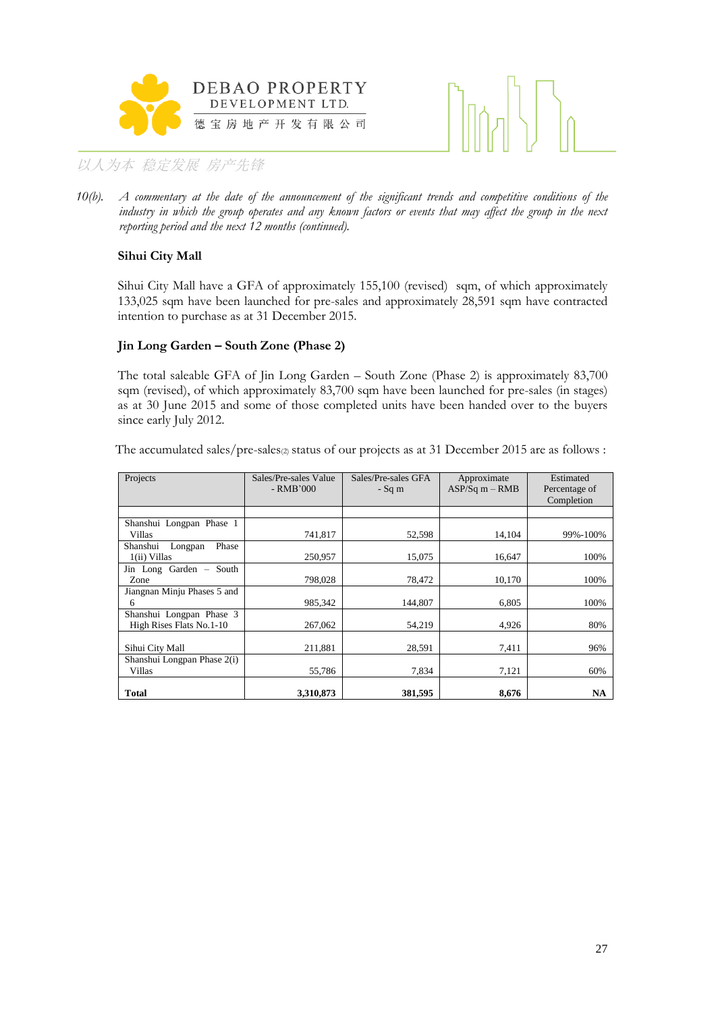



*10(b). A commentary at the date of the announcement of the significant trends and competitive conditions of the industry in which the group operates and any known factors or events that may affect the group in the next reporting period and the next 12 months (continued).*

#### **Sihui City Mall**

Sihui City Mall have a GFA of approximately 155,100 (revised) sqm, of which approximately 133,025 sqm have been launched for pre-sales and approximately 28,591 sqm have contracted intention to purchase as at 31 December 2015.

#### **Jin Long Garden – South Zone (Phase 2)**

The total saleable GFA of Jin Long Garden – South Zone (Phase 2) is approximately 83,700 sqm (revised), of which approximately 83,700 sqm have been launched for pre-sales (in stages) as at 30 June 2015 and some of those completed units have been handed over to the buyers since early July 2012.

The accumulated sales/pre-sales(2) status of our projects as at 31 December 2015 are as follows :

| Projects                     | Sales/Pre-sales Value<br>$-RMB'000$ | Sales/Pre-sales GFA<br>$-Sq$ m | Approximate<br>$ASP/Sq m - RMB$ | Estimated<br>Percentage of<br>Completion |
|------------------------------|-------------------------------------|--------------------------------|---------------------------------|------------------------------------------|
|                              |                                     |                                |                                 |                                          |
| Shanshui Longpan Phase 1     |                                     |                                |                                 |                                          |
| Villas                       | 741,817                             | 52,598                         | 14,104                          | 99%-100%                                 |
| Shanshui<br>Phase<br>Longpan |                                     |                                |                                 |                                          |
| 1(ii) Villas                 | 250,957                             | 15,075                         | 16,647                          | 100%                                     |
| Jin Long Garden - South      |                                     |                                |                                 |                                          |
| Zone                         | 798,028                             | 78,472                         | 10,170                          | 100%                                     |
| Jiangnan Minju Phases 5 and  |                                     |                                |                                 |                                          |
| 6                            | 985.342                             | 144.807                        | 6.805                           | 100%                                     |
| Shanshui Longpan Phase 3     |                                     |                                |                                 |                                          |
| High Rises Flats No.1-10     | 267,062                             | 54,219                         | 4,926                           | 80%                                      |
|                              |                                     |                                |                                 |                                          |
| Sihui City Mall              | 211,881                             | 28,591                         | 7,411                           | 96%                                      |
| Shanshui Longpan Phase 2(i)  |                                     |                                |                                 |                                          |
| Villas                       | 55,786                              | 7,834                          | 7,121                           | 60%                                      |
|                              |                                     |                                |                                 |                                          |
| Total                        | 3,310,873                           | 381,595                        | 8,676                           | NA                                       |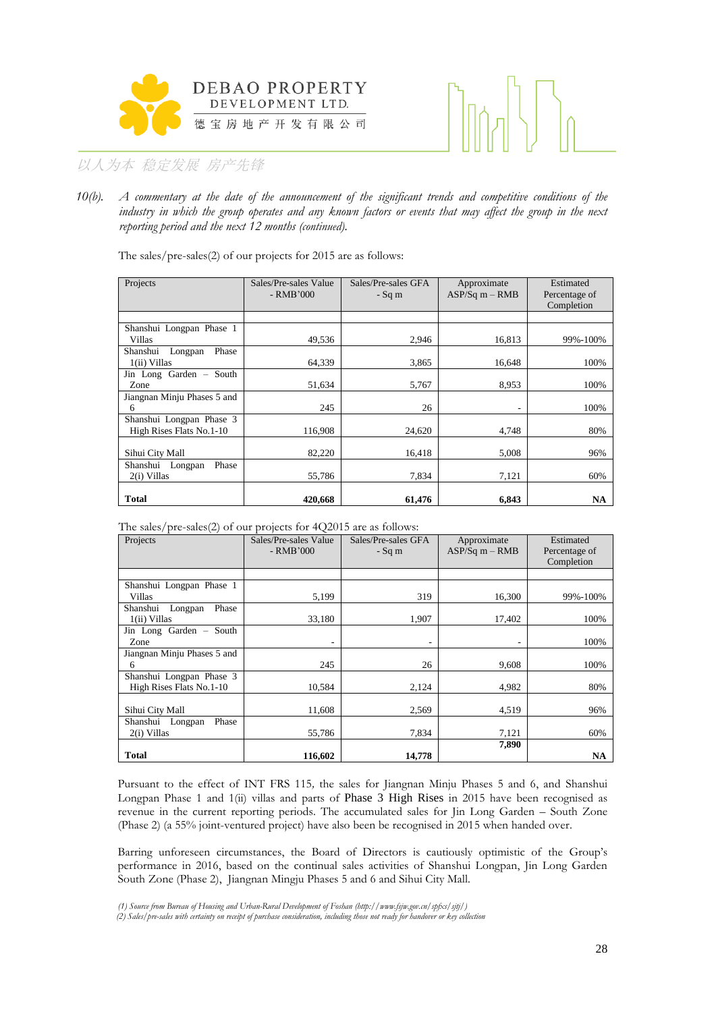



*10(b). A commentary at the date of the announcement of the significant trends and competitive conditions of the industry in which the group operates and any known factors or events that may affect the group in the next reporting period and the next 12 months (continued).*

The sales/pre-sales(2) of our projects for 2015 are as follows:

| Projects                                             | Sales/Pre-sales Value<br>$-RMB'000$ | Sales/Pre-sales GFA<br>$-Sq \; m$ | Approximate<br>$ASP/Sq m - RMB$ | Estimated<br>Percentage of<br>Completion |
|------------------------------------------------------|-------------------------------------|-----------------------------------|---------------------------------|------------------------------------------|
|                                                      |                                     |                                   |                                 |                                          |
| Shanshui Longpan Phase 1<br>Villas                   | 49,536                              | 2,946                             | 16,813                          | 99%-100%                                 |
| Shanshui<br>Phase<br>Longpan<br>1(ii) Villas         | 64,339                              | 3,865                             | 16,648                          | 100%                                     |
| Jin Long Garden - South<br>Zone                      | 51,634                              | 5,767                             | 8,953                           | 100%                                     |
| Jiangnan Minju Phases 5 and<br>6                     | 245                                 | 26                                |                                 | 100%                                     |
| Shanshui Longpan Phase 3<br>High Rises Flats No.1-10 | 116,908                             | 24,620                            | 4,748                           | 80%                                      |
| Sihui City Mall                                      | 82,220                              | 16,418                            | 5,008                           | 96%                                      |
| Phase<br>Shanshui Longpan<br>2(i) Villas             | 55,786                              | 7,834                             | 7,121                           | 60%                                      |
| Total                                                | 420,668                             | 61.476                            | 6.843                           | <b>NA</b>                                |

The sales/pre-sales(2) of our projects for 4Q2015 are as follows:

| Projects                     | Sales/Pre-sales Value<br>$-RMB'000$ | Sales/Pre-sales GFA<br>$-Sq$ m | Approximate<br>$ASP/Sq$ m – RMB | Estimated<br>Percentage of<br>Completion |
|------------------------------|-------------------------------------|--------------------------------|---------------------------------|------------------------------------------|
|                              |                                     |                                |                                 |                                          |
| Shanshui Longpan Phase 1     |                                     |                                |                                 |                                          |
| Villas                       | 5,199                               | 319                            | 16,300                          | 99%-100%                                 |
| Phase<br>Shanshui<br>Longpan |                                     |                                |                                 |                                          |
| 1(ii) Villas                 | 33,180                              | 1,907                          | 17,402                          | 100%                                     |
| Jin Long Garden - South      |                                     |                                |                                 |                                          |
| Zone                         | ۰.                                  | ٠                              | ٠                               | 100%                                     |
| Jiangnan Minju Phases 5 and  |                                     |                                |                                 |                                          |
| 6                            | 245                                 | 26                             | 9,608                           | 100%                                     |
| Shanshui Longpan Phase 3     |                                     |                                |                                 |                                          |
| High Rises Flats No.1-10     | 10,584                              | 2,124                          | 4,982                           | 80%                                      |
|                              |                                     |                                |                                 |                                          |
| Sihui City Mall              | 11,608                              | 2,569                          | 4,519                           | 96%                                      |
| Phase<br>Shanshui Longpan    |                                     |                                |                                 |                                          |
| 2(i) Villas                  | 55,786                              | 7,834                          | 7,121                           | 60%                                      |
|                              |                                     |                                | 7,890                           |                                          |
| <b>Total</b>                 | 116,602                             | 14,778                         |                                 | NA                                       |

Pursuant to the effect of INT FRS 115*,* the sales for Jiangnan Minju Phases 5 and 6, and Shanshui Longpan Phase 1 and  $1(i)$  villas and parts of Phase 3 High Rises in 2015 have been recognised as revenue in the current reporting periods. The accumulated sales for Jin Long Garden – South Zone (Phase 2) (a 55% joint-ventured project) have also been be recognised in 2015 when handed over.

Barring unforeseen circumstances, the Board of Directors is cautiously optimistic of the Group's performance in 2016, based on the continual sales activities of Shanshui Longpan, Jin Long Garden South Zone (Phase 2), Jiangnan Mingju Phases 5 and 6 and Sihui City Mall.

*<sup>(1)</sup> Source from Bureau of Housing and Urban-Rural Development of Foshan (http://www.fsjw.gov.cn/spfxs/sjtj/)*

*<sup>(2)</sup> Sales/pre-sales with certainty on receipt of purchase consideration, including those not ready for handover or key collection*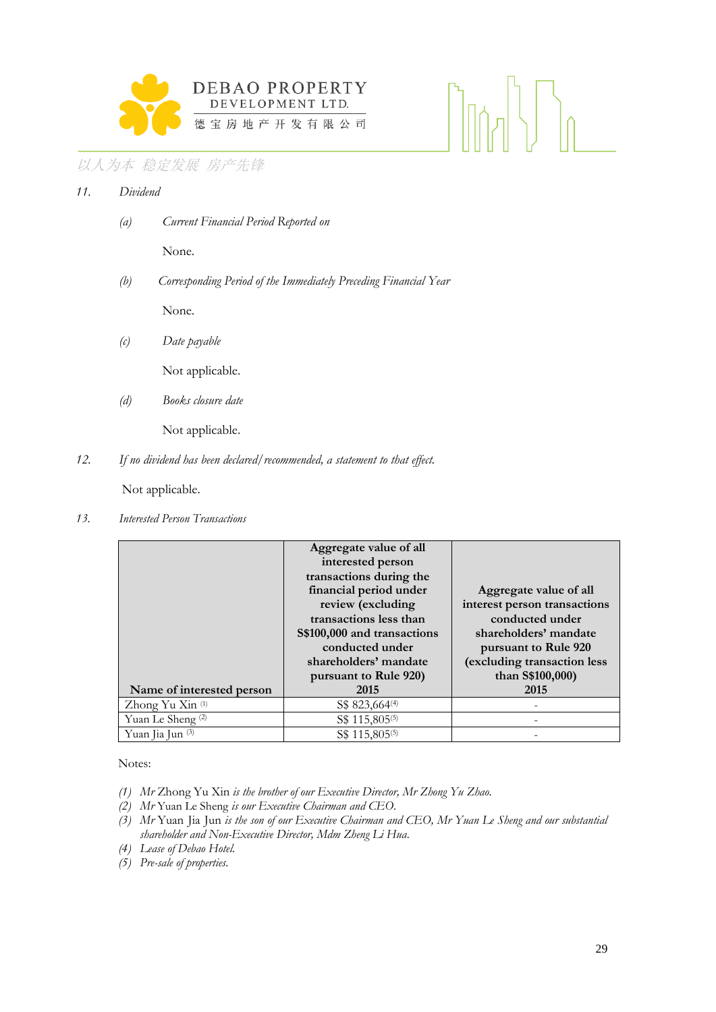

*11. Dividend*

*(a) Current Financial Period Reported on*

None.

*(b) Corresponding Period of the Immediately Preceding Financial Year*

None.

*(c) Date payable*

Not applicable.

*(d) Books closure date*

Not applicable.

*12. If no dividend has been declared/recommended, a statement to that effect.*

Not applicable.

*13. Interested Person Transactions*

| Name of interested person    | Aggregate value of all<br>interested person<br>transactions during the<br>financial period under<br>review (excluding<br>transactions less than<br>S\$100,000 and transactions<br>conducted under<br>shareholders' mandate<br>pursuant to Rule 920)<br>2015 | Aggregate value of all<br>interest person transactions<br>conducted under<br>shareholders' mandate<br>pursuant to Rule 920<br>(excluding transaction less<br>than S\$100,000)<br>2015 |
|------------------------------|-------------------------------------------------------------------------------------------------------------------------------------------------------------------------------------------------------------------------------------------------------------|---------------------------------------------------------------------------------------------------------------------------------------------------------------------------------------|
| Zhong Yu Xin <sup>(1)</sup>  | S\$ 823,664 <sup>(4)</sup>                                                                                                                                                                                                                                  |                                                                                                                                                                                       |
| Yuan Le Sheng <sup>(2)</sup> | S\$ 115,805(5)                                                                                                                                                                                                                                              |                                                                                                                                                                                       |
| Yuan Jia Jun (3)             | S\$ 115,805 <sup>(5)</sup>                                                                                                                                                                                                                                  |                                                                                                                                                                                       |

Notes:

- *(1) Mr* Zhong Yu Xin *is the brother of our Executive Director, Mr Zhong Yu Zhao.*
- *(2) Mr* Yuan Le Sheng *is our Executive Chairman and CEO.*
- *(3) Mr* Yuan Jia Jun *is the son of our Executive Chairman and CEO, Mr Yuan Le Sheng and our substantial shareholder and Non-Executive Director, Mdm Zheng Li Hua.*
- *(4) Lease of Debao Hotel.*
- *(5) Pre-sale of properties.*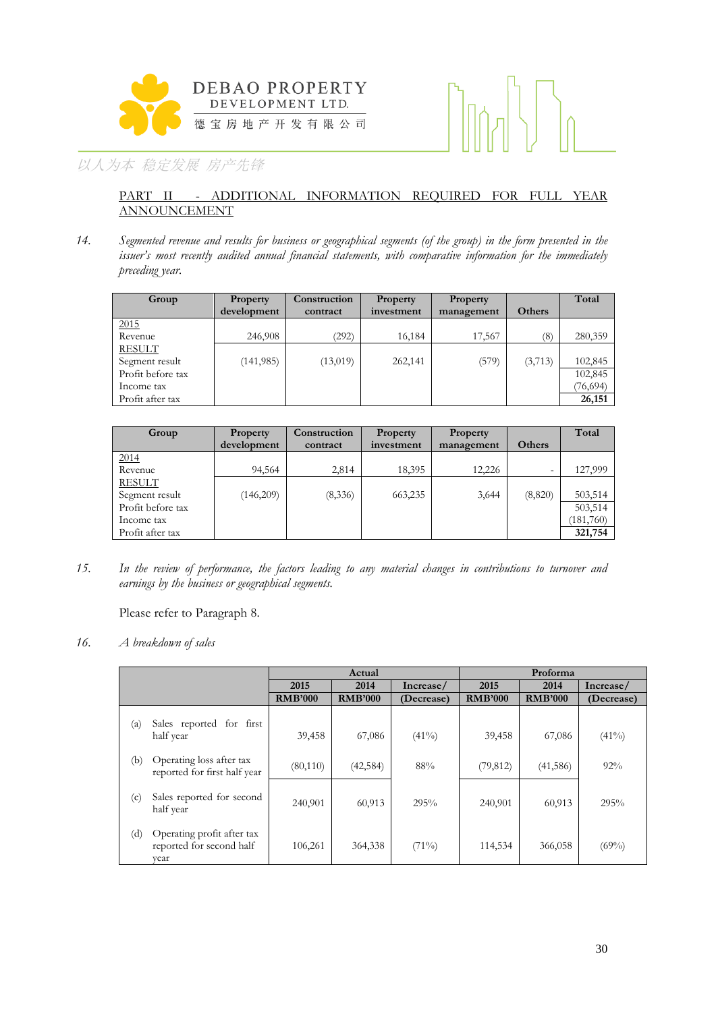



#### PART II - ADDITIONAL INFORMATION REQUIRED FOR FULL YEAR ANNOUNCEMENT

*14. Segmented revenue and results for business or geographical segments (of the group) in the form presented in the issuer's most recently audited annual financial statements, with comparative information for the immediately preceding year.*

| Group             | Property    | Construction | Property   | <b>Property</b> |               | Total     |
|-------------------|-------------|--------------|------------|-----------------|---------------|-----------|
|                   | development | contract     | investment | management      | <b>Others</b> |           |
| 2015              |             |              |            |                 |               |           |
| Revenue           | 246,908     | (292)        | 16,184     | 17,567          | (8)           | 280,359   |
| <b>RESULT</b>     |             |              |            |                 |               |           |
| Segment result    | (141, 985)  | (13,019)     | 262,141    | (579)           | (3,713)       | 102,845   |
| Profit before tax |             |              |            |                 |               | 102,845   |
| Income tax        |             |              |            |                 |               | (76, 694) |
| Profit after tax  |             |              |            |                 |               | 26,151    |

| Group             | <b>Property</b> | Construction | Property   | Property   |                          | Total     |
|-------------------|-----------------|--------------|------------|------------|--------------------------|-----------|
|                   | development     | contract     | investment | management | <b>Others</b>            |           |
| 2014              |                 |              |            |            |                          |           |
| Revenue           | 94,564          | 2,814        | 18,395     | 12,226     | $\overline{\phantom{0}}$ | 127,999   |
| <b>RESULT</b>     |                 |              |            |            |                          |           |
| Segment result    | (146,209)       | (8,336)      | 663,235    | 3,644      | (8,820)                  | 503,514   |
| Profit before tax |                 |              |            |            |                          | 503,514   |
| Income tax        |                 |              |            |            |                          | (181,760) |
| Profit after tax  |                 |              |            |            |                          | 321,754   |

*15. In the review of performance, the factors leading to any material changes in contributions to turnover and earnings by the business or geographical segments.*

Please refer to Paragraph 8.

*16. A breakdown of sales*

|     |                                                                | Actual         |                | Proforma   |                |                |            |
|-----|----------------------------------------------------------------|----------------|----------------|------------|----------------|----------------|------------|
|     |                                                                | 2015           | 2014           | Increase/  | 2015           | 2014           | Increase/  |
|     |                                                                | <b>RMB'000</b> | <b>RMB'000</b> | (Decrease) | <b>RMB'000</b> | <b>RMB'000</b> | (Decrease) |
| (a) | Sales reported for first<br>half year                          | 39,458         | 67,086         | $(41\%)$   | 39,458         | 67,086         | (41%)      |
| (b) | Operating loss after tax<br>reported for first half year       | (80, 110)      | (42, 584)      | 88%        | (79, 812)      | (41, 586)      | 92%        |
| (c) | Sales reported for second<br>half year                         | 240,901        | 60,913         | 295%       | 240,901        | 60,913         | 295%       |
| (d) | Operating profit after tax<br>reported for second half<br>vear | 106,261        | 364,338        | $(71\%)$   | 114,534        | 366,058        | $(69\%)$   |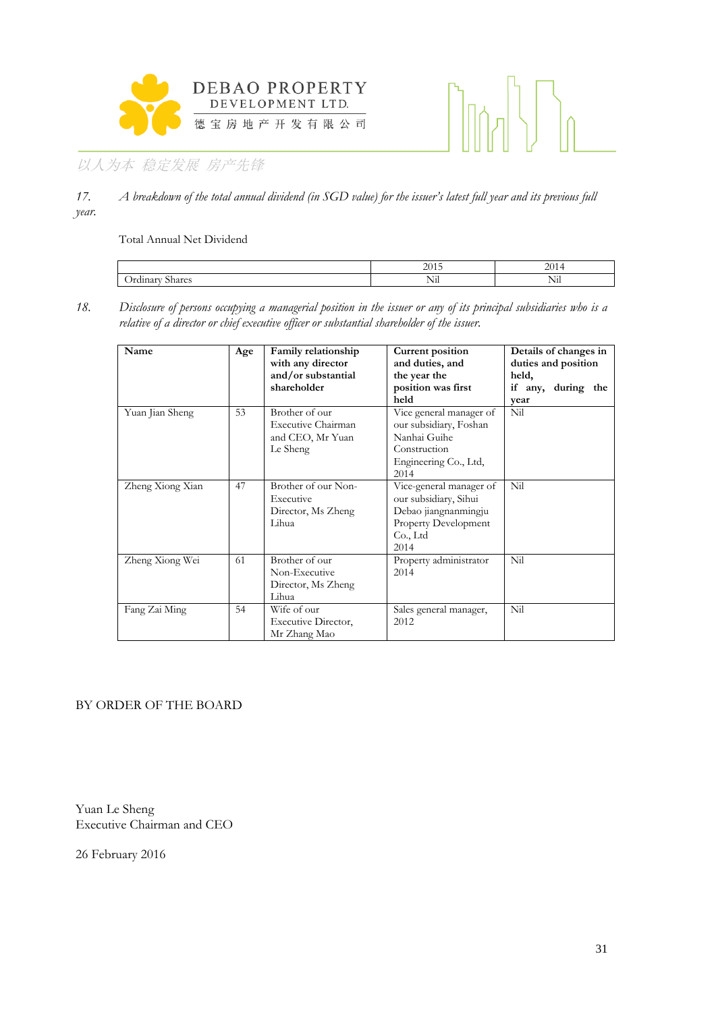



*17. A breakdown of the total annual dividend (in SGD value) for the issuer's latest full year and its previous full year.* 

Total Annual Net Dividend

|                          | $\Omega$<br>⊷ | ∽<br>-<br>л.              |
|--------------------------|---------------|---------------------------|
| -<br>--<br>$\sim$<br>1a. | --<br>NП      | -<br>$\sim$ $\sim$ $\sim$ |

*18. Disclosure of persons occupying a managerial position in the issuer or any of its principal subsidiaries who is a relative of a director or chief executive officer or substantial shareholder of the issuer.* 

| Name             | Age | Family relationship<br>with any director<br>and/or substantial<br>shareholder | Current position<br>and duties, and<br>the year the<br>position was first<br>held                                    | Details of changes in<br>duties and position<br>held,<br>if any, during the<br>vear |
|------------------|-----|-------------------------------------------------------------------------------|----------------------------------------------------------------------------------------------------------------------|-------------------------------------------------------------------------------------|
| Yuan Jian Sheng  | 53  | Brother of our<br>Executive Chairman<br>and CEO, Mr Yuan<br>Le Sheng          | Vice general manager of<br>our subsidiary, Foshan<br>Nanhai Guihe<br>Construction<br>Engineering Co., Ltd,<br>2014   | Nil                                                                                 |
| Zheng Xiong Xian | 47  | Brother of our Non-<br>Executive<br>Director, Ms Zheng<br>Lihua               | Vice-general manager of<br>our subsidiary, Sihui<br>Debao jiangnanmingju<br>Property Development<br>Co., Ltd<br>2014 | Nil                                                                                 |
| Zheng Xiong Wei  | 61  | Brother of our<br>Non-Executive<br>Director, Ms Zheng<br>Lihua                | Property administrator<br>2014                                                                                       | Nil                                                                                 |
| Fang Zai Ming    | 54  | Wife of our<br>Executive Director,<br>Mr Zhang Mao                            | Sales general manager,<br>2012                                                                                       | Nil                                                                                 |

#### BY ORDER OF THE BOARD

Yuan Le Sheng Executive Chairman and CEO

26 February 2016